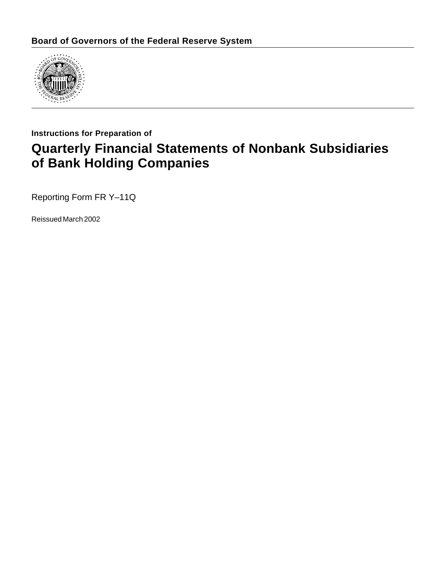

### **Instructions for Preparation of**

# **Quarterly Financial Statements of Nonbank Subsidiaries of Bank Holding Companies**

Reporting Form FR Y–11Q

Reissued March 2002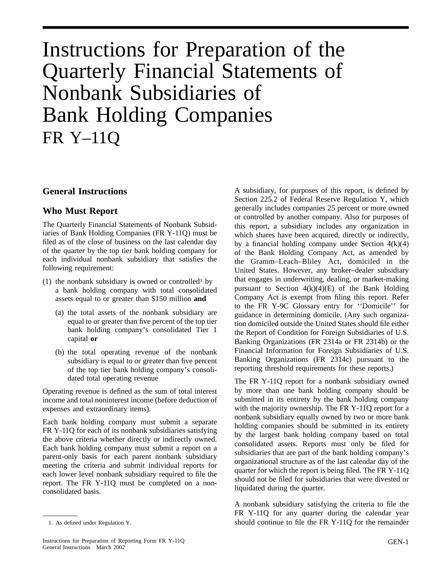# Instructions for Preparation of the Quarterly Financial Statements of Nonbank Subsidiaries of Bank Holding Companies FR Y–11Q

#### **General Instructions**

#### **Who Must Report**

The Quarterly Financial Statements of Nonbank Subsidiaries of Bank Holding Companies (FR Y-11Q) must be filed as of the close of business on the last calendar day of the quarter by the top tier bank holding company for each individual nonbank subsidiary that satisfies the following requirement:

- (1) the nonbank subsidiary is owned or controlled<sup>1</sup> by a bank holding company with total consolidated assets equal to or greater than \$150 million **and**
	- (a) the total assets of the nonbank subsidiary are equal to or greater than five percent of the top tier bank holding company's consolidated Tier 1 capital **or**
	- (b) the total operating revenue of the nonbank subsidiary is equal to or greater than five percent of the top tier bank holding company's consolidated total operating revenue

Operating revenue is defined as the sum of total interest income and total noninterest income (before deduction of expenses and extraordinary items).

Each bank holding company must submit a separate FR Y-11Q for each of its nonbank subsidiaries satisfying the above criteria whether directly or indirectly owned. Each bank holding company must submit a report on a parent-only basis for each parent nonbank subsidiary meeting the criteria and submit individual reports for each lower level nonbank subsidiary required to file the report. The FR Y-11Q must be completed on a nonconsolidated basis.

A subsidiary, for purposes of this report, is defined by Section 225.2 of Federal Reserve Regulation Y, which generally includes companies 25 percent or more owned or controlled by another company. Also for purposes of this report, a subsidiary includes any organization in which shares have been acquired, directly or indirectly, by a financial holding company under Section  $4(k)(4)$ of the Bank Holding Company Act, as amended by the Gramm–Leach–Bliley Act, domiciled in the United States. However, any broker–dealer subsidiary that engages in underwriting, dealing, or market-making pursuant to Section  $4(k)(4)(E)$  of the Bank Holding Company Act is exempt from filing this report. Refer to the FR Y-9C Glossary entry for ''Domicile'' for guidance in determining domicile. (Any such organization domiciled outside the United States should file either the Report of Condition for Foreign Subsidiaries of U.S. Banking Organizations (FR 2314a or FR 2314b) or the Financial Information for Foreign Subsidiaries of U.S. Banking Organizations (FR 2314c) pursuant to the reporting threshold requirements for these reports.)

The FR Y-11Q report for a nonbank subsidiary owned by more than one bank holding company should be submitted in its entirety by the bank holding company with the majority ownership. The FR Y-11Q report for a nonbank subsidiary equally owned by two or more bank holding companies should be submitted in its entirety by the largest bank holding company based on total consolidated assets. Reports must only be filed for subsidiaries that are part of the bank holding company's organizational structure as of the last calendar day of the quarter for which the report is being filed. The FR Y-11Q should not be filed for subsidiaries that were divested or liquidated during the quarter.

A nonbank subsidiary satisfying the criteria to file the FR Y-11Q for any quarter during the calendar year 1. As defined under Regulation Y. Should continue to file the FR Y-11Q for the remainder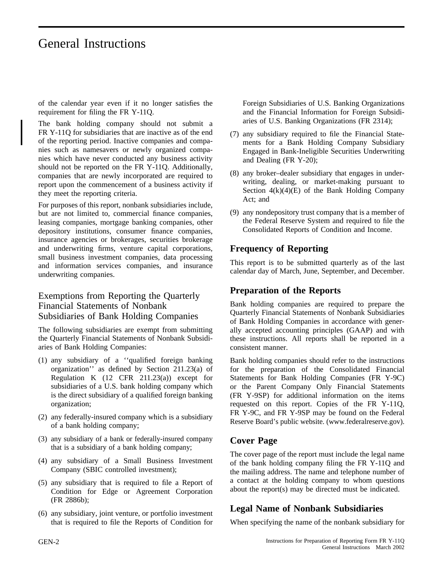# General Instructions

of the calendar year even if it no longer satisfies the requirement for filing the FR Y-11Q.

The bank holding company should not submit a FR Y-11Q for subsidiaries that are inactive as of the end of the reporting period. Inactive companies and companies such as namesavers or newly organized companies which have never conducted any business activity should not be reported on the FR Y-11Q. Additionally, companies that are newly incorporated are required to report upon the commencement of a business activity if they meet the reporting criteria.

For purposes of this report, nonbank subsidiaries include, but are not limited to, commercial finance companies, leasing companies, mortgage banking companies, other depository institutions, consumer finance companies, insurance agencies or brokerages, securities brokerage and underwriting firms, venture capital corporations, small business investment companies, data processing and information services companies, and insurance underwriting companies.

### Exemptions from Reporting the Quarterly Financial Statements of Nonbank Subsidiaries of Bank Holding Companies

The following subsidiaries are exempt from submitting the Quarterly Financial Statements of Nonbank Subsidiaries of Bank Holding Companies:

- (1) any subsidiary of a ''qualified foreign banking organization'' as defined by Section 211.23(a) of Regulation K  $(12 \text{ CFR } 211.23(a))$  except for subsidiaries of a U.S. bank holding company which is the direct subsidiary of a qualified foreign banking organization;
- (2) any federally-insured company which is a subsidiary of a bank holding company;
- (3) any subsidiary of a bank or federally-insured company that is a subsidiary of a bank holding company;
- (4) any subsidiary of a Small Business Investment Company (SBIC controlled investment);
- (5) any subsidiary that is required to file a Report of Condition for Edge or Agreement Corporation (FR 2886b);
- (6) any subsidiary, joint venture, or portfolio investment that is required to file the Reports of Condition for

Foreign Subsidiaries of U.S. Banking Organizations and the Financial Information for Foreign Subsidiaries of U.S. Banking Organizations (FR 2314);

- (7) any subsidiary required to file the Financial Statements for a Bank Holding Company Subsidiary Engaged in Bank-Ineligible Securities Underwriting and Dealing (FR Y-20);
- (8) any broker–dealer subsidiary that engages in underwriting, dealing, or market-making pursuant to Section  $4(k)(4)(E)$  of the Bank Holding Company Act; and
- (9) any nondepository trust company that is a member of the Federal Reserve System and required to file the Consolidated Reports of Condition and Income.

### **Frequency of Reporting**

This report is to be submitted quarterly as of the last calendar day of March, June, September, and December.

### **Preparation of the Reports**

Bank holding companies are required to prepare the Quarterly Financial Statements of Nonbank Subsidiaries of Bank Holding Companies in accordance with generally accepted accounting principles (GAAP) and with these instructions. All reports shall be reported in a consistent manner.

Bank holding companies should refer to the instructions for the preparation of the Consolidated Financial Statements for Bank Holding Companies (FR Y-9C) or the Parent Company Only Financial Statements (FR Y-9SP) for additional information on the items requested on this report. Copies of the FR Y-11Q, FR Y-9C, and FR Y-9SP may be found on the Federal Reserve Board's public website. (www.federalreserve.gov).

### **Cover Page**

The cover page of the report must include the legal name of the bank holding company filing the FR Y-11Q and the mailing address. The name and telephone number of a contact at the holding company to whom questions about the report(s) may be directed must be indicated.

### **Legal Name of Nonbank Subsidiaries**

When specifying the name of the nonbank subsidiary for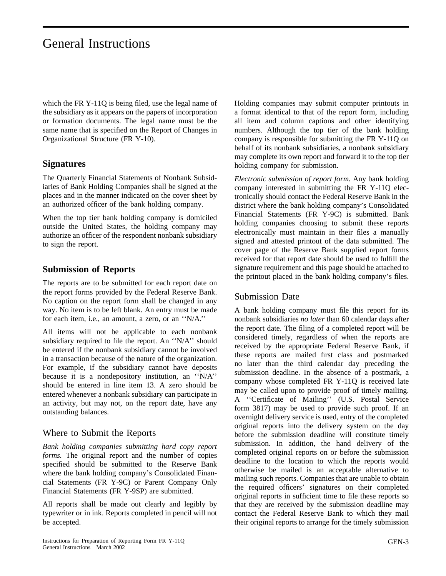# General Instructions

which the FR Y-11Q is being filed, use the legal name of the subsidiary as it appears on the papers of incorporation or formation documents. The legal name must be the same name that is specified on the Report of Changes in Organizational Structure (FR Y-10).

#### **Signatures**

The Quarterly Financial Statements of Nonbank Subsidiaries of Bank Holding Companies shall be signed at the places and in the manner indicated on the cover sheet by an authorized officer of the bank holding company.

When the top tier bank holding company is domiciled outside the United States, the holding company may authorize an officer of the respondent nonbank subsidiary to sign the report.

### **Submission of Reports**

The reports are to be submitted for each report date on the report forms provided by the Federal Reserve Bank. No caption on the report form shall be changed in any way. No item is to be left blank. An entry must be made for each item, i.e., an amount, a zero, or an ''N/A.''

All items will not be applicable to each nonbank subsidiary required to file the report. An ''N/A'' should be entered if the nonbank subsidiary cannot be involved in a transaction because of the nature of the organization. For example, if the subsidiary cannot have deposits because it is a nondepository institution, an ''N/A'' should be entered in line item 13. A zero should be entered whenever a nonbank subsidiary can participate in an activity, but may not, on the report date, have any outstanding balances.

#### Where to Submit the Reports

*Bank holding companies submitting hard copy report forms.* The original report and the number of copies specified should be submitted to the Reserve Bank where the bank holding company's Consolidated Financial Statements (FR Y-9C) or Parent Company Only Financial Statements (FR Y-9SP) are submitted.

All reports shall be made out clearly and legibly by typewriter or in ink. Reports completed in pencil will not be accepted.

Holding companies may submit computer printouts in a format identical to that of the report form, including all item and column captions and other identifying numbers. Although the top tier of the bank holding company is responsible for submitting the FR Y-11Q on behalf of its nonbank subsidiaries, a nonbank subsidiary may complete its own report and forward it to the top tier holding company for submission.

*Electronic submission of report form.* Any bank holding company interested in submitting the FR Y-11Q electronically should contact the Federal Reserve Bank in the district where the bank holding company's Consolidated Financial Statements (FR Y-9C) is submitted. Bank holding companies choosing to submit these reports electronically must maintain in their files a manually signed and attested printout of the data submitted. The cover page of the Reserve Bank supplied report forms received for that report date should be used to fulfill the signature requirement and this page should be attached to the printout placed in the bank holding company's files.

#### Submission Date

A bank holding company must file this report for its nonbank subsidiaries *no later* than 60 calendar days after the report date. The filing of a completed report will be considered timely, regardless of when the reports are received by the appropriate Federal Reserve Bank, if these reports are mailed first class and postmarked no later than the third calendar day preceding the submission deadline. In the absence of a postmark, a company whose completed FR Y-11Q is received late may be called upon to provide proof of timely mailing. A ''Certificate of Mailing'' (U.S. Postal Service form 3817) may be used to provide such proof. If an overnight delivery service is used, entry of the completed original reports into the delivery system on the day before the submission deadline will constitute timely submission. In addition, the hand delivery of the completed original reports on or before the submission deadline to the location to which the reports would otherwise be mailed is an acceptable alternative to mailing such reports. Companies that are unable to obtain the required officers' signatures on their completed original reports in sufficient time to file these reports so that they are received by the submission deadline may contact the Federal Reserve Bank to which they mail their original reports to arrange for the timely submission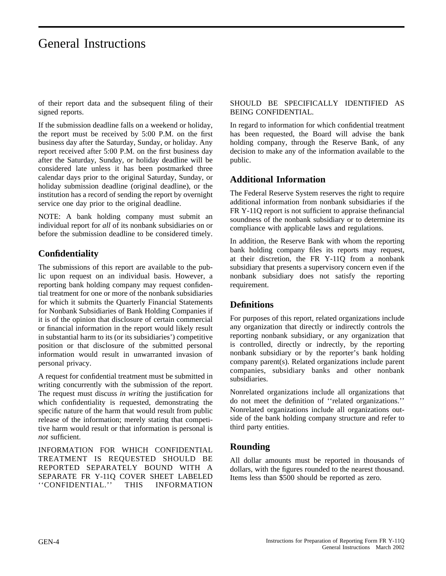## General Instructions

of their report data and the subsequent filing of their signed reports.

If the submission deadline falls on a weekend or holiday, the report must be received by 5:00 P.M. on the first business day after the Saturday, Sunday, or holiday. Any report received after 5:00 P.M. on the first business day after the Saturday, Sunday, or holiday deadline will be considered late unless it has been postmarked three calendar days prior to the original Saturday, Sunday, or holiday submission deadline (original deadline), or the institution has a record of sending the report by overnight service one day prior to the original deadline.

NOTE: A bank holding company must submit an individual report for *all* of its nonbank subsidiaries on or before the submission deadline to be considered timely.

### **Confidentiality**

The submissions of this report are available to the public upon request on an individual basis. However, a reporting bank holding company may request confidential treatment for one or more of the nonbank subsidiaries for which it submits the Quarterly Financial Statements for Nonbank Subsidiaries of Bank Holding Companies if it is of the opinion that disclosure of certain commercial or financial information in the report would likely result in substantial harm to its (or its subsidiaries') competitive position or that disclosure of the submitted personal information would result in unwarranted invasion of personal privacy.

A request for confidential treatment must be submitted in writing concurrently with the submission of the report. The request must discuss *in writing* the justification for which confidentiality is requested, demonstrating the specific nature of the harm that would result from public release of the information; merely stating that competitive harm would result or that information is personal is *not* sufficient.

INFORMATION FOR WHICH CONFIDENTIAL TREATMENT IS REQUESTED SHOULD BE REPORTED SEPARATELY BOUND WITH A SEPARATE FR Y-11Q COVER SHEET LABELED ''CONFIDENTIAL.'' THIS INFORMATION

#### SHOULD BE SPECIFICALLY IDENTIFIED AS BEING CONFIDENTIAL.

In regard to information for which confidential treatment has been requested, the Board will advise the bank holding company, through the Reserve Bank, of any decision to make any of the information available to the public.

### **Additional Information**

The Federal Reserve System reserves the right to require additional information from nonbank subsidiaries if the FR Y-11Q report is not sufficient to appraise thefinancial soundness of the nonbank subsidiary or to determine its compliance with applicable laws and regulations.

In addition, the Reserve Bank with whom the reporting bank holding company files its reports may request, at their discretion, the FR Y-11Q from a nonbank subsidiary that presents a supervisory concern even if the nonbank subsidiary does not satisfy the reporting requirement.

#### **Definitions**

For purposes of this report, related organizations include any organization that directly or indirectly controls the reporting nonbank subsidiary, or any organization that is controlled, directly or indrectly, by the reporting nonbank subsidiary or by the reporter's bank holding company parent(s). Related organizations include parent companies, subsidiary banks and other nonbank subsidiaries.

Nonrelated organizations include all organizations that do not meet the definition of ''related organizations.'' Nonrelated organizations include all organizations outside of the bank holding company structure and refer to third party entities.

### **Rounding**

All dollar amounts must be reported in thousands of dollars, with the figures rounded to the nearest thousand. Items less than \$500 should be reported as zero.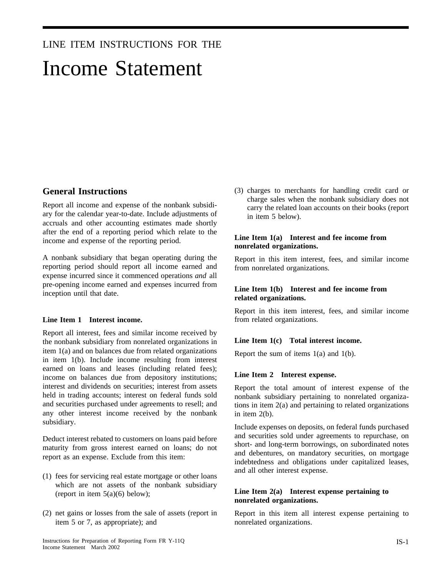### LINE ITEM INSTRUCTIONS FOR THE

# Income Statement

#### **General Instructions**

Report all income and expense of the nonbank subsidiary for the calendar year-to-date. Include adjustments of accruals and other accounting estimates made shortly after the end of a reporting period which relate to the income and expense of the reporting period.

A nonbank subsidiary that began operating during the reporting period should report all income earned and expense incurred since it commenced operations *and* all pre-opening income earned and expenses incurred from inception until that date.

#### **Line Item 1 Interest income.**

Report all interest, fees and similar income received by the nonbank subsidiary from nonrelated organizations in item 1(a) and on balances due from related organizations in item 1(b). Include income resulting from interest earned on loans and leases (including related fees); income on balances due from depository institutions; interest and dividends on securities; interest from assets held in trading accounts; interest on federal funds sold and securities purchased under agreements to resell; and any other interest income received by the nonbank subsidiary.

Deduct interest rebated to customers on loans paid before maturity from gross interest earned on loans; do not report as an expense. Exclude from this item:

- (1) fees for servicing real estate mortgage or other loans which are not assets of the nonbank subsidiary (report in item  $5(a)(6)$  below);
- (2) net gains or losses from the sale of assets (report in item 5 or 7, as appropriate); and

(3) charges to merchants for handling credit card or charge sales when the nonbank subsidiary does not carry the related loan accounts on their books (report in item 5 below).

#### **Line Item 1(a) Interest and fee income from nonrelated organizations.**

Report in this item interest, fees, and similar income from nonrelated organizations.

#### **Line Item 1(b) Interest and fee income from related organizations.**

Report in this item interest, fees, and similar income from related organizations.

#### **Line Item 1(c) Total interest income.**

Report the sum of items  $1(a)$  and  $1(b)$ .

#### **Line Item 2 Interest expense.**

Report the total amount of interest expense of the nonbank subsidiary pertaining to nonrelated organizations in item 2(a) and pertaining to related organizations in item 2(b).

Include expenses on deposits, on federal funds purchased and securities sold under agreements to repurchase, on short- and long-term borrowings, on subordinated notes and debentures, on mandatory securities, on mortgage indebtedness and obligations under capitalized leases, and all other interest expense.

#### **Line Item 2(a) Interest expense pertaining to nonrelated organizations.**

Report in this item all interest expense pertaining to nonrelated organizations.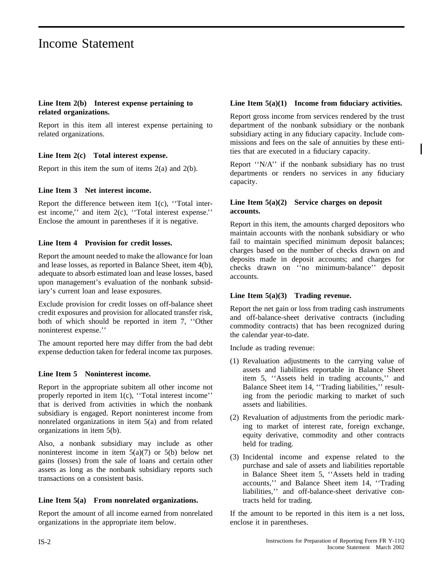#### **Line Item 2(b) Interest expense pertaining to related organizations.**

Report in this item all interest expense pertaining to related organizations.

#### **Line Item 2(c) Total interest expense.**

Report in this item the sum of items  $2(a)$  and  $2(b)$ .

#### **Line Item 3 Net interest income.**

Report the difference between item 1(c), ''Total interest income,'' and item 2(c), ''Total interest expense.'' Enclose the amount in parentheses if it is negative.

#### **Line Item 4 Provision for credit losses.**

Report the amount needed to make the allowance for loan and lease losses, as reported in Balance Sheet, item 4(b), adequate to absorb estimated loan and lease losses, based upon management's evaluation of the nonbank subsidiary's current loan and lease exposures.

Exclude provision for credit losses on off-balance sheet credit exposures and provision for allocated transfer risk, both of which should be reported in item 7, ''Other noninterest expense.''

The amount reported here may differ from the bad debt expense deduction taken for federal income tax purposes.

#### **Line Item 5 Noninterest income.**

Report in the appropriate subitem all other income not properly reported in item 1(c), "Total interest income" that is derived from activities in which the nonbank subsidiary is engaged. Report noninterest income from nonrelated organizations in item 5(a) and from related organizations in item 5(b).

Also, a nonbank subsidiary may include as other noninterest income in item  $5(a)(7)$  or  $5(b)$  below net gains (losses) from the sale of loans and certain other assets as long as the nonbank subsidiary reports such transactions on a consistent basis.

#### **Line Item 5(a) From nonrelated organizations.**

Report the amount of all income earned from nonrelated organizations in the appropriate item below.

#### **Line Item 5(a)(1) Income from fiduciary activities.**

Report gross income from services rendered by the trust department of the nonbank subsidiary or the nonbank subsidiary acting in any fiduciary capacity. Include commissions and fees on the sale of annuities by these entities that are executed in a fiduciary capacity.

Report ''N/A'' if the nonbank subsidiary has no trust departments or renders no services in any fiduciary capacity.

#### **Line Item 5(a)(2) Service charges on deposit accounts.**

Report in this item, the amounts charged depositors who maintain accounts with the nonbank subsidiary or who fail to maintain specified minimum deposit balances; charges based on the number of checks drawn on and deposits made in deposit accounts; and charges for checks drawn on ''no minimum-balance'' deposit accounts.

#### **Line Item 5(a)(3) Trading revenue.**

Report the net gain or loss from trading cash instruments and off-balance-sheet derivative contracts (including commodity contracts) that has been recognized during the calendar year-to-date.

Include as trading revenue:

- (1) Revaluation adjustments to the carrying value of assets and liabilities reportable in Balance Sheet item 5, ''Assets held in trading accounts,'' and Balance Sheet item 14, ''Trading liabilities,'' resulting from the periodic marking to market of such assets and liabilities.
- (2) Revaluation of adjustments from the periodic marking to market of interest rate, foreign exchange, equity derivative, commodity and other contracts held for trading.
- (3) Incidental income and expense related to the purchase and sale of assets and liabilities reportable in Balance Sheet item 5, ''Assets held in trading accounts,'' and Balance Sheet item 14, ''Trading liabilities,'' and off-balance-sheet derivative contracts held for trading.

If the amount to be reported in this item is a net loss, enclose it in parentheses.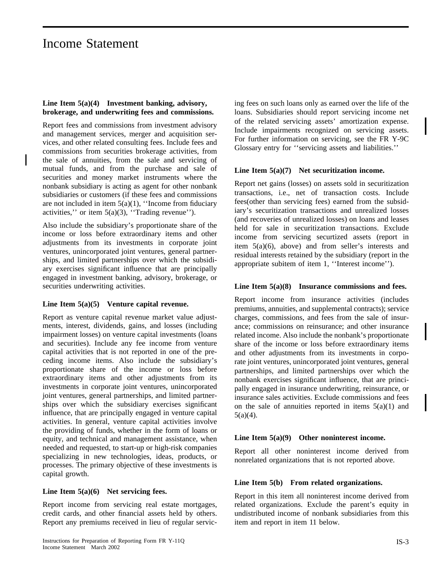#### **Line Item 5(a)(4) Investment banking, advisory, brokerage, and underwriting fees and commissions.**

Report fees and commissions from investment advisory and management services, merger and acquisition services, and other related consulting fees. Include fees and commissions from securities brokerage activities, from the sale of annuities, from the sale and servicing of mutual funds, and from the purchase and sale of securities and money market instruments where the nonbank subsidiary is acting as agent for other nonbank subsidiaries or customers (if these fees and commissions are not included in item 5(a)(1), ''Income from fiduciary activities," or item  $5(a)(3)$ , "Trading revenue").

Also include the subsidiary's proportionate share of the income or loss before extraordinary items and other adjustments from its investments in corporate joint ventures, unincorporated joint ventures, general partnerships, and limited partnerships over which the subsidiary exercises significant influence that are principally engaged in investment banking, advisory, brokerage, or securities underwriting activities.

#### **Line Item 5(a)(5) Venture capital revenue.**

Report as venture capital revenue market value adjustments, interest, dividends, gains, and losses (including impairment losses) on venture capital investments (loans and securities). Include any fee income from venture capital activities that is not reported in one of the preceding income items. Also include the subsidiary's proportionate share of the income or loss before extraordinary items and other adjustments from its investments in corporate joint ventures, unincorporated joint ventures, general partnerships, and limited partnerships over which the subsidiary exercises significant influence, that are principally engaged in venture capital activities. In general, venture capital activities involve the providing of funds, whether in the form of loans or equity, and technical and management assistance, when needed and requested, to start-up or high-risk companies specializing in new technologies, ideas, products, or processes. The primary objective of these investments is capital growth.

#### **Line Item 5(a)(6) Net servicing fees.**

Report income from servicing real estate mortgages, credit cards, and other financial assets held by others. Report any premiums received in lieu of regular servicing fees on such loans only as earned over the life of the loans. Subsidiaries should report servicing income net of the related servicing assets' amortization expense. Include impairments recognized on servicing assets. For further information on servicing, see the FR Y-9C Glossary entry for ''servicing assets and liabilities.''

#### **Line Item 5(a)(7) Net securitization income.**

Report net gains (losses) on assets sold in securitization transactions, i.e., net of transaction costs. Include fees(other than servicing fees) earned from the subsidiary's securitization transactions and unrealized losses (and recoveries of unrealized losses) on loans and leases held for sale in securitization transactions. Exclude income from servicing securtized assets (report in item 5(a)(6), above) and from seller's interests and residual interests retained by the subsidiary (report in the appropriate subitem of item 1, ''Interest income'').

#### **Line Item 5(a)(8) Insurance commissions and fees.**

Report income from insurance activities (includes premiums, annuities, and supplemental contracts); service charges, commissions, and fees from the sale of insurance; commissions on reinsurance; and other insurance related income. Also include the nonbank's proportionate share of the income or loss before extraordinary items and other adjustments from its investments in corporate joint ventures, unincorporated joint ventures, general partnerships, and limited partnerships over which the nonbank exercises significant influence, that are principally engaged in insurance underwriting, reinsurance, or insurance sales activities. Exclude commissions and fees on the sale of annuities reported in items  $5(a)(1)$  and  $5(a)(4)$ .

#### **Line Item 5(a)(9) Other noninterest income.**

Report all other noninterest income derived from nonrelated organizations that is not reported above.

#### **Line Item 5(b) From related organizations.**

Report in this item all noninterest income derived from related organizations. Exclude the parent's equity in undistributed income of nonbank subsidiaries from this item and report in item 11 below.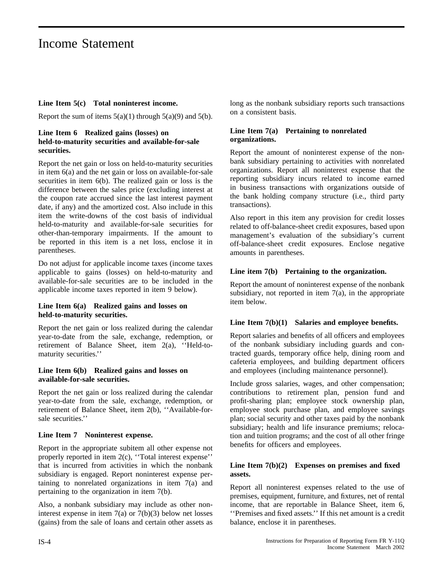#### **Line Item 5(c) Total noninterest income.**

Report the sum of items  $5(a)(1)$  through  $5(a)(9)$  and  $5(b)$ .

#### **Line Item 6 Realized gains (losses) on held-to-maturity securities and available-for-sale securities.**

Report the net gain or loss on held-to-maturity securities in item 6(a) and the net gain or loss on available-for-sale securities in item 6(b). The realized gain or loss is the difference between the sales price (excluding interest at the coupon rate accrued since the last interest payment date, if any) and the amortized cost. Also include in this item the write-downs of the cost basis of individual held-to-maturity and available-for-sale securities for other-than-temporary impairments. If the amount to be reported in this item is a net loss, enclose it in parentheses.

Do not adjust for applicable income taxes (income taxes applicable to gains (losses) on held-to-maturity and available-for-sale securities are to be included in the applicable income taxes reported in item 9 below).

#### **Line Item 6(a) Realized gains and losses on held-to-maturity securities.**

Report the net gain or loss realized during the calendar year-to-date from the sale, exchange, redemption, or retirement of Balance Sheet, item 2(a), ''Held-tomaturity securities.''

#### **Line Item 6(b) Realized gains and losses on available-for-sale securities.**

Report the net gain or loss realized during the calendar year-to-date from the sale, exchange, redemption, or retirement of Balance Sheet, item 2(b), ''Available-forsale securities.''

#### **Line Item 7 Noninterest expense.**

Report in the appropriate subitem all other expense not properly reported in item 2(c), ''Total interest expense'' that is incurred from activities in which the nonbank subsidiary is engaged. Report noninterest expense pertaining to nonrelated organizations in item 7(a) and pertaining to the organization in item 7(b).

Also, a nonbank subsidiary may include as other noninterest expense in item 7(a) or 7(b)(3) below net losses (gains) from the sale of loans and certain other assets as long as the nonbank subsidiary reports such transactions on a consistent basis.

#### **Line Item 7(a) Pertaining to nonrelated organizations.**

Report the amount of noninterest expense of the nonbank subsidiary pertaining to activities with nonrelated organizations. Report all noninterest expense that the reporting subsidiary incurs related to income earned in business transactions with organizations outside of the bank holding company structure (i.e., third party transactions).

Also report in this item any provision for credit losses related to off-balance-sheet credit exposures, based upon management's evaluation of the subsidiary's current off-balance-sheet credit exposures. Enclose negative amounts in parentheses.

#### **Line item 7(b) Pertaining to the organization.**

Report the amount of noninterest expense of the nonbank subsidiary, not reported in item  $7(a)$ , in the appropriate item below.

#### **Line Item 7(b)(1) Salaries and employee benefits.**

Report salaries and benefits of all officers and employees of the nonbank subsidiary including guards and contracted guards, temporary office help, dining room and cafeteria employees, and building department officers and employees (including maintenance personnel).

Include gross salaries, wages, and other compensation; contributions to retirement plan, pension fund and profit-sharing plan; employee stock ownership plan, employee stock purchase plan, and employee savings plan; social security and other taxes paid by the nonbank subsidiary; health and life insurance premiums; relocation and tuition programs; and the cost of all other fringe benefits for officers and employees.

#### **Line Item 7(b)(2) Expenses on premises and fixed assets.**

Report all noninterest expenses related to the use of premises, equipment, furniture, and fixtures, net of rental income, that are reportable in Balance Sheet, item 6, ''Premises and fixed assets.'' If this net amount is a credit balance, enclose it in parentheses.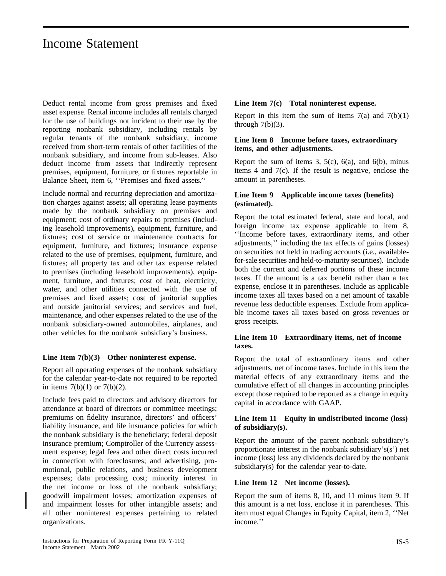Deduct rental income from gross premises and fixed asset expense. Rental income includes all rentals charged for the use of buildings not incident to their use by the reporting nonbank subsidiary, including rentals by regular tenants of the nonbank subsidiary, income received from short-term rentals of other facilities of the nonbank subsidiary, and income from sub-leases. Also deduct income from assets that indirectly represent premises, equipment, furniture, or fixtures reportable in Balance Sheet, item 6, ''Premises and fixed assets.''

Include normal and recurring depreciation and amortization charges against assets; all operating lease payments made by the nonbank subsidiary on premises and equipment; cost of ordinary repairs to premises (including leasehold improvements), equipment, furniture, and fixtures; cost of service or maintenance contracts for equipment, furniture, and fixtures; insurance expense related to the use of premises, equipment, furniture, and fixtures; all property tax and other tax expense related to premises (including leasehold improvements), equipment, furniture, and fixtures; cost of heat, electricity, water, and other utilities connected with the use of premises and fixed assets; cost of janitorial supplies and outside janitorial services; and services and fuel, maintenance, and other expenses related to the use of the nonbank subsidiary-owned automobiles, airplanes, and other vehicles for the nonbank subsidiary's business.

#### **Line Item 7(b)(3) Other noninterest expense.**

Report all operating expenses of the nonbank subsidiary for the calendar year-to-date not required to be reported in items  $7(b)(1)$  or  $7(b)(2)$ .

Include fees paid to directors and advisory directors for attendance at board of directors or committee meetings; premiums on fidelity insurance, directors' and officers' liability insurance, and life insurance policies for which the nonbank subsidiary is the beneficiary; federal deposit insurance premium; Comptroller of the Currency assessment expense; legal fees and other direct costs incurred in connection with foreclosures; and advertising, promotional, public relations, and business development expenses; data processing cost; minority interest in the net income or loss of the nonbank subsidiary; goodwill impairment losses; amortization expenses of and impairment losses for other intangible assets; and all other noninterest expenses pertaining to related organizations.

#### **Line Item 7(c) Total noninterest expense.**

Report in this item the sum of items  $7(a)$  and  $7(b)(1)$ through  $7(b)(3)$ .

#### **Line Item 8 Income before taxes, extraordinary items, and other adjustments.**

Report the sum of items 3,  $5(c)$ ,  $6(a)$ , and  $6(b)$ , minus items 4 and 7(c). If the result is negative, enclose the amount in parentheses.

#### **Line Item 9 Applicable income taxes (benefits) (estimated).**

Report the total estimated federal, state and local, and foreign income tax expense applicable to item 8, ''Income before taxes, extraordinary items, and other adjustments,'' including the tax effects of gains (losses) on securities not held in trading accounts (i.e., availablefor-sale securities and held-to-maturity securities). Include both the current and deferred portions of these income taxes. If the amount is a tax benefit rather than a tax expense, enclose it in parentheses. Include as applicable income taxes all taxes based on a net amount of taxable revenue less deductible expenses. Exclude from applicable income taxes all taxes based on gross revenues or gross receipts.

#### **Line Item 10 Extraordinary items, net of income taxes.**

Report the total of extraordinary items and other adjustments, net of income taxes. Include in this item the material effects of any extraordinary items and the cumulative effect of all changes in accounting principles except those required to be reported as a change in equity capital in accordance with GAAP.

#### **Line Item 11 Equity in undistributed income (loss) of subsidiary(s).**

Report the amount of the parent nonbank subsidiary's proportionate interest in the nonbank subsidiary's(s') net income (loss) less any dividends declared by the nonbank subsidiary(s) for the calendar year-to-date.

#### **Line Item 12 Net income (losses).**

Report the sum of items 8, 10, and 11 minus item 9. If this amount is a net loss, enclose it in parentheses. This item must equal Changes in Equity Capital, item 2, ''Net income.''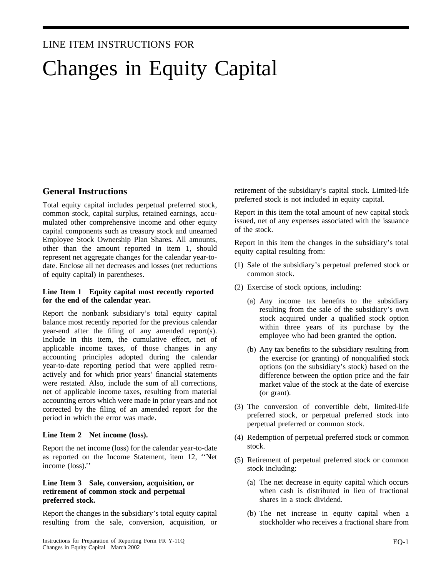# LINE ITEM INSTRUCTIONS FOR Changes in Equity Capital

### **General Instructions**

Total equity capital includes perpetual preferred stock, common stock, capital surplus, retained earnings, accumulated other comprehensive income and other equity capital components such as treasury stock and unearned Employee Stock Ownership Plan Shares. All amounts, other than the amount reported in item 1, should represent net aggregate changes for the calendar year-todate. Enclose all net decreases and losses (net reductions of equity capital) in parentheses.

#### **Line Item 1 Equity capital most recently reported for the end of the calendar year.**

Report the nonbank subsidiary's total equity capital balance most recently reported for the previous calendar year-end after the filing of any amended report(s). Include in this item, the cumulative effect, net of applicable income taxes, of those changes in any accounting principles adopted during the calendar year-to-date reporting period that were applied retroactively and for which prior years' financial statements were restated. Also, include the sum of all corrections, net of applicable income taxes, resulting from material accounting errors which were made in prior years and not corrected by the filing of an amended report for the period in which the error was made.

#### **Line Item 2 Net income (loss).**

Report the net income (loss) for the calendar year-to-date as reported on the Income Statement, item 12, ''Net income (loss).''

#### **Line Item 3 Sale, conversion, acquisition, or retirement of common stock and perpetual preferred stock.**

Report the changes in the subsidiary's total equity capital resulting from the sale, conversion, acquisition, or retirement of the subsidiary's capital stock. Limited-life preferred stock is not included in equity capital.

Report in this item the total amount of new capital stock issued, net of any expenses associated with the issuance of the stock.

Report in this item the changes in the subsidiary's total equity capital resulting from:

- (1) Sale of the subsidiary's perpetual preferred stock or common stock.
- (2) Exercise of stock options, including:
	- (a) Any income tax benefits to the subsidiary resulting from the sale of the subsidiary's own stock acquired under a qualified stock option within three years of its purchase by the employee who had been granted the option.
	- (b) Any tax benefits to the subsidiary resulting from the exercise (or granting) of nonqualified stock options (on the subsidiary's stock) based on the difference between the option price and the fair market value of the stock at the date of exercise (or grant).
- (3) The conversion of convertible debt, limited-life preferred stock, or perpetual preferred stock into perpetual preferred or common stock.
- (4) Redemption of perpetual preferred stock or common stock.
- (5) Retirement of perpetual preferred stock or common stock including:
	- (a) The net decrease in equity capital which occurs when cash is distributed in lieu of fractional shares in a stock dividend.
	- (b) The net increase in equity capital when a stockholder who receives a fractional share from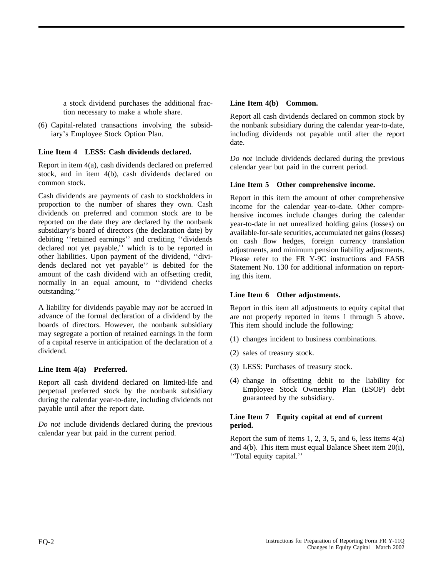a stock dividend purchases the additional fraction necessary to make a whole share.

(6) Capital-related transactions involving the subsidiary's Employee Stock Option Plan.

#### **Line Item 4 LESS: Cash dividends declared.**

Report in item 4(a), cash dividends declared on preferred stock, and in item 4(b), cash dividends declared on common stock.

Cash dividends are payments of cash to stockholders in proportion to the number of shares they own. Cash dividends on preferred and common stock are to be reported on the date they are declared by the nonbank subsidiary's board of directors (the declaration date) by debiting ''retained earnings'' and crediting ''dividends declared not yet payable,'' which is to be reported in other liabilities. Upon payment of the dividend, ''dividends declared not yet payable'' is debited for the amount of the cash dividend with an offsetting credit, normally in an equal amount, to ''dividend checks outstanding.''

A liability for dividends payable may *not* be accrued in advance of the formal declaration of a dividend by the boards of directors. However, the nonbank subsidiary may segregate a portion of retained earnings in the form of a capital reserve in anticipation of the declaration of a dividend.

#### **Line Item 4(a) Preferred.**

Report all cash dividend declared on limited-life and perpetual preferred stock by the nonbank subsidiary during the calendar year-to-date, including dividends not payable until after the report date.

*Do not* include dividends declared during the previous calendar year but paid in the current period.

#### **Line Item 4(b) Common.**

Report all cash dividends declared on common stock by the nonbank subsidiary during the calendar year-to-date, including dividends not payable until after the report date.

*Do not* include dividends declared during the previous calendar year but paid in the current period.

#### **Line Item 5 Other comprehensive income.**

Report in this item the amount of other comprehensive income for the calendar year-to-date. Other comprehensive incomes include changes during the calendar year-to-date in net unrealized holding gains (losses) on available-for-sale securities, accumulated net gains (losses) on cash flow hedges, foreign currency translation adjustments, and minimum pension liability adjustments. Please refer to the FR Y-9C instructions and FASB Statement No. 130 for additional information on reporting this item.

#### **Line Item 6 Other adjustments.**

Report in this item all adjustments to equity capital that are not properly reported in items 1 through 5 above. This item should include the following:

- (1) changes incident to business combinations.
- (2) sales of treasury stock.
- (3) LESS: Purchases of treasury stock.
- (4) change in offsetting debit to the liability for Employee Stock Ownership Plan (ESOP) debt guaranteed by the subsidiary.

#### **Line Item 7 Equity capital at end of current period.**

Report the sum of items 1, 2, 3, 5, and 6, less items  $4(a)$ and 4(b). This item must equal Balance Sheet item 20(i), ''Total equity capital.''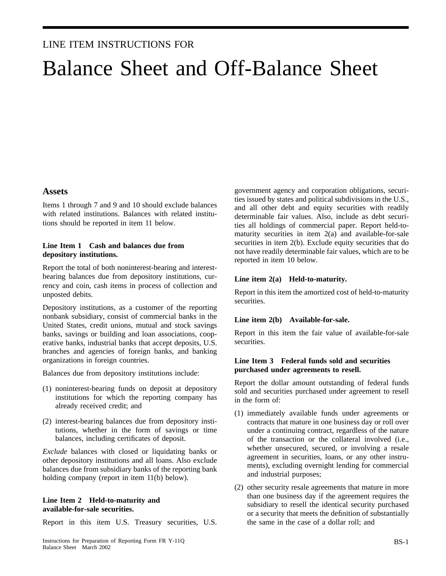### LINE ITEM INSTRUCTIONS FOR

# Balance Sheet and Off-Balance Sheet

#### **Assets**

Items 1 through 7 and 9 and 10 should exclude balances with related institutions. Balances with related institutions should be reported in item 11 below.

#### **Line Item 1 Cash and balances due from depository institutions.**

Report the total of both noninterest-bearing and interestbearing balances due from depository institutions, currency and coin, cash items in process of collection and unposted debits.

Depository institutions, as a customer of the reporting nonbank subsidiary, consist of commercial banks in the United States, credit unions, mutual and stock savings banks, savings or building and loan associations, cooperative banks, industrial banks that accept deposits, U.S. branches and agencies of foreign banks, and banking organizations in foreign countries.

Balances due from depository institutions include:

- (1) noninterest-bearing funds on deposit at depository institutions for which the reporting company has already received credit; and
- (2) interest-bearing balances due from depository institutions, whether in the form of savings or time balances, including certificates of deposit.

*Exclude* balances with closed or liquidating banks or other depository institutions and all loans. Also exclude balances due from subsidiary banks of the reporting bank holding company (report in item 11(b) below).

#### **Line Item 2 Held-to-maturity and available-for-sale securities.**

Report in this item U.S. Treasury securities, U.S.

government agency and corporation obligations, securities issued by states and political subdivisions in the U.S., and all other debt and equity securities with readily determinable fair values. Also, include as debt securities all holdings of commercial paper. Report held-tomaturity securities in item 2(a) and available-for-sale securities in item 2(b). Exclude equity securities that do not have readily determinable fair values, which are to be reported in item 10 below.

#### **Line item 2(a) Held-to-maturity.**

Report in this item the amortized cost of held-to-maturity securities.

#### **Line item 2(b) Available-for-sale.**

Report in this item the fair value of available-for-sale securities.

#### **Line Item 3 Federal funds sold and securities purchased under agreements to resell.**

Report the dollar amount outstanding of federal funds sold and securities purchased under agreement to resell in the form of:

- (1) immediately available funds under agreements or contracts that mature in one business day or roll over under a continuing contract, regardless of the nature of the transaction or the collateral involved (i.e., whether unsecured, secured, or involving a resale agreement in securities, loans, or any other instruments), excluding overnight lending for commercial and industrial purposes;
- (2) other security resale agreements that mature in more than one business day if the agreement requires the subsidiary to resell the identical security purchased or a security that meets the definition of substantially the same in the case of a dollar roll; and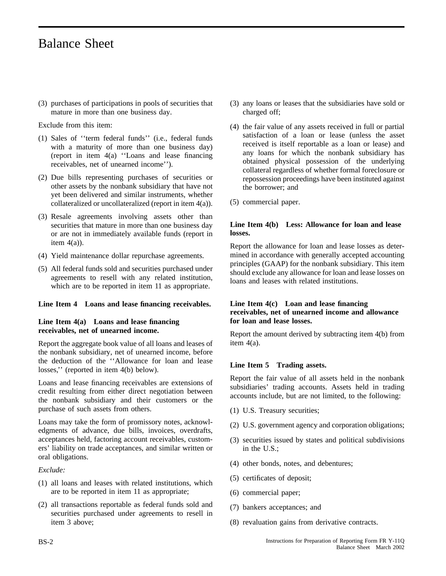(3) purchases of participations in pools of securities that mature in more than one business day.

Exclude from this item:

- (1) Sales of ''term federal funds'' (i.e., federal funds with a maturity of more than one business day) (report in item 4(a) ''Loans and lease financing receivables, net of unearned income'').
- (2) Due bills representing purchases of securities or other assets by the nonbank subsidiary that have not yet been delivered and similar instruments, whether collateralized or uncollateralized (report in item 4(a)).
- (3) Resale agreements involving assets other than securities that mature in more than one business day or are not in immediately available funds (report in item  $4(a)$ ).
- (4) Yield maintenance dollar repurchase agreements.
- (5) All federal funds sold and securities purchased under agreements to resell with any related institution, which are to be reported in item 11 as appropriate.

#### **Line Item 4 Loans and lease financing receivables.**

#### **Line Item 4(a) Loans and lease financing receivables, net of unearned income.**

Report the aggregate book value of all loans and leases of the nonbank subsidiary, net of unearned income, before the deduction of the ''Allowance for loan and lease losses,'' (reported in item 4(b) below).

Loans and lease financing receivables are extensions of credit resulting from either direct negotiation between the nonbank subsidiary and their customers or the purchase of such assets from others.

Loans may take the form of promissory notes, acknowledgments of advance, due bills, invoices, overdrafts, acceptances held, factoring account receivables, customers' liability on trade acceptances, and similar written or oral obligations.

*Exclude:*

- (1) all loans and leases with related institutions, which are to be reported in item 11 as appropriate;
- (2) all transactions reportable as federal funds sold and securities purchased under agreements to resell in item 3 above;
- (3) any loans or leases that the subsidiaries have sold or charged off;
- (4) the fair value of any assets received in full or partial satisfaction of a loan or lease (unless the asset received is itself reportable as a loan or lease) and any loans for which the nonbank subsidiary has obtained physical possession of the underlying collateral regardless of whether formal foreclosure or repossession proceedings have been instituted against the borrower; and
- (5) commercial paper.

#### **Line Item 4(b) Less: Allowance for loan and lease losses.**

Report the allowance for loan and lease losses as determined in accordance with generally accepted accounting principles (GAAP) for the nonbank subsidiary. This item should exclude any allowance for loan and lease losses on loans and leases with related institutions.

#### **Line Item 4(c) Loan and lease financing receivables, net of unearned income and allowance for loan and lease losses.**

Report the amount derived by subtracting item 4(b) from item 4(a).

#### **Line Item 5 Trading assets.**

Report the fair value of all assets held in the nonbank subsidiaries' trading accounts. Assets held in trading accounts include, but are not limited, to the following:

- (1) U.S. Treasury securities;
- (2) U.S. government agency and corporation obligations;
- (3) securities issued by states and political subdivisions in the U.S.;
- (4) other bonds, notes, and debentures;
- (5) certificates of deposit;
- (6) commercial paper;
- (7) bankers acceptances; and
- (8) revaluation gains from derivative contracts.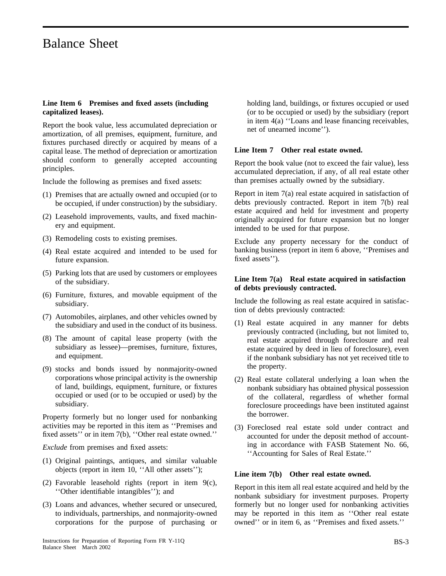#### **Line Item 6 Premises and fixed assets (including capitalized leases).**

Report the book value, less accumulated depreciation or amortization, of all premises, equipment, furniture, and fixtures purchased directly or acquired by means of a capital lease. The method of depreciation or amortization should conform to generally accepted accounting principles.

Include the following as premises and fixed assets:

- (1) Premises that are actually owned and occupied (or to be occupied, if under construction) by the subsidiary.
- (2) Leasehold improvements, vaults, and fixed machinery and equipment.
- (3) Remodeling costs to existing premises.
- (4) Real estate acquired and intended to be used for future expansion.
- (5) Parking lots that are used by customers or employees of the subsidiary.
- (6) Furniture, fixtures, and movable equipment of the subsidiary.
- (7) Automobiles, airplanes, and other vehicles owned by the subsidiary and used in the conduct of its business.
- (8) The amount of capital lease property (with the subsidiary as lessee)—premises, furniture, fixtures, and equipment.
- (9) stocks and bonds issued by nonmajority-owned corporations whose principal activity is the ownership of land, buildings, equipment, furniture, or fixtures occupied or used (or to be occupied or used) by the subsidiary.

Property formerly but no longer used for nonbanking activities may be reported in this item as ''Premises and fixed assets'' or in item 7(b), ''Other real estate owned.''

*Exclude* from premises and fixed assets:

- (1) Original paintings, antiques, and similar valuable objects (report in item 10, ''All other assets'');
- (2) Favorable leasehold rights (report in item 9(c), ''Other identifiable intangibles''); and
- (3) Loans and advances, whether secured or unsecured, to individuals, partnerships, and nonmajority-owned corporations for the purpose of purchasing or

holding land, buildings, or fixtures occupied or used (or to be occupied or used) by the subsidiary (report in item 4(a) ''Loans and lease financing receivables, net of unearned income'').

#### **Line Item 7 Other real estate owned.**

Report the book value (not to exceed the fair value), less accumulated depreciation, if any, of all real estate other than premises actually owned by the subsidiary.

Report in item 7(a) real estate acquired in satisfaction of debts previously contracted. Report in item 7(b) real estate acquired and held for investment and property originally acquired for future expansion but no longer intended to be used for that purpose.

Exclude any property necessary for the conduct of banking business (report in item 6 above, ''Premises and fixed assets'').

#### **Line Item 7(a) Real estate acquired in satisfaction of debts previously contracted.**

Include the following as real estate acquired in satisfaction of debts previously contracted:

- (1) Real estate acquired in any manner for debts previously contracted (including, but not limited to, real estate acquired through foreclosure and real estate acquired by deed in lieu of foreclosure), even if the nonbank subsidiary has not yet received title to the property.
- (2) Real estate collateral underlying a loan when the nonbank subsidiary has obtained physical possession of the collateral, regardless of whether formal foreclosure proceedings have been instituted against the borrower.
- (3) Foreclosed real estate sold under contract and accounted for under the deposit method of accounting in accordance with FASB Statement No. 66, ''Accounting for Sales of Real Estate.''

#### **Line item 7(b) Other real estate owned.**

Report in this item all real estate acquired and held by the nonbank subsidiary for investment purposes. Property formerly but no longer used for nonbanking activities may be reported in this item as ''Other real estate owned'' or in item 6, as ''Premises and fixed assets.''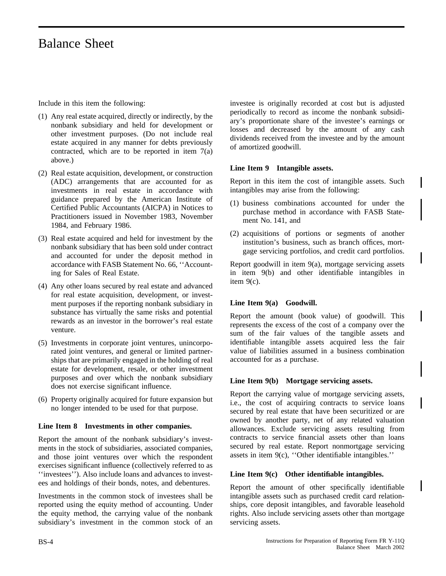Include in this item the following:

- (1) Any real estate acquired, directly or indirectly, by the nonbank subsidiary and held for development or other investment purposes. (Do not include real estate acquired in any manner for debts previously contracted, which are to be reported in item 7(a) above.)
- (2) Real estate acquisition, development, or construction (ADC) arrangements that are accounted for as investments in real estate in accordance with guidance prepared by the American Institute of Certified Public Accountants (AICPA) in Notices to Practitioners issued in November 1983, November 1984, and February 1986.
- (3) Real estate acquired and held for investment by the nonbank subsidiary that has been sold under contract and accounted for under the deposit method in accordance with FASB Statement No. 66, ''Accounting for Sales of Real Estate.
- (4) Any other loans secured by real estate and advanced for real estate acquisition, development, or investment purposes if the reporting nonbank subsidiary in substance has virtually the same risks and potential rewards as an investor in the borrower's real estate venture.
- (5) Investments in corporate joint ventures, unincorporated joint ventures, and general or limited partnerships that are primarily engaged in the holding of real estate for development, resale, or other investment purposes and over which the nonbank subsidiary does not exercise significant influence.
- (6) Property originally acquired for future expansion but no longer intended to be used for that purpose.

#### **Line Item 8 Investments in other companies.**

Report the amount of the nonbank subsidiary's investments in the stock of subsidiaries, associated companies, and those joint ventures over which the respondent exercises significant influence (collectively referred to as ''investees''). Also include loans and advances to investees and holdings of their bonds, notes, and debentures.

Investments in the common stock of investees shall be reported using the equity method of accounting. Under the equity method, the carrying value of the nonbank subsidiary's investment in the common stock of an investee is originally recorded at cost but is adjusted periodically to record as income the nonbank subsidiary's proportionate share of the investee's earnings or losses and decreased by the amount of any cash dividends received from the investee and by the amount of amortized goodwill.

#### **Line Item 9 Intangible assets.**

Report in this item the cost of intangible assets. Such intangibles may arise from the following:

- (1) business combinations accounted for under the purchase method in accordance with FASB Statement No. 141, and
- (2) acquisitions of portions or segments of another institution's business, such as branch offices, mortgage servicing portfolios, and credit card portfolios.

Report goodwill in item 9(a), mortgage servicing assets in item 9(b) and other identifiable intangibles in item 9(c).

#### **Line Item 9(a) Goodwill.**

Report the amount (book value) of goodwill. This represents the excess of the cost of a company over the sum of the fair values of the tangible assets and identifiable intangible assets acquired less the fair value of liabilities assumed in a business combination accounted for as a purchase.

#### **Line Item 9(b) Mortgage servicing assets.**

Report the carrying value of mortgage servicing assets, i.e., the cost of acquiring contracts to service loans secured by real estate that have been securitized or are owned by another party, net of any related valuation allowances. Exclude servicing assets resulting from contracts to service financial assets other than loans secured by real estate. Report nonmortgage servicing assets in item 9(c), ''Other identifiable intangibles.''

#### **Line Item 9(c) Other identifiable intangibles.**

Report the amount of other specifically identifiable intangible assets such as purchased credit card relationships, core deposit intangibles, and favorable leasehold rights. Also include servicing assets other than mortgage servicing assets.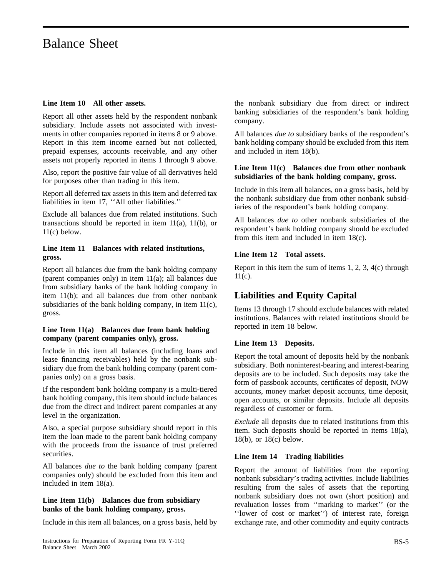#### **Line Item 10 All other assets.**

Report all other assets held by the respondent nonbank subsidiary. Include assets not associated with investments in other companies reported in items 8 or 9 above. Report in this item income earned but not collected, prepaid expenses, accounts receivable, and any other assets not properly reported in items 1 through 9 above.

Also, report the positive fair value of all derivatives held for purposes other than trading in this item.

Report all deferred tax assets in this item and deferred tax liabilities in item 17, ''All other liabilities.''

Exclude all balances due from related institutions. Such transactions should be reported in item  $11(a)$ ,  $11(b)$ , or 11(c) below.

#### **Line Item 11 Balances with related institutions, gross.**

Report all balances due from the bank holding company (parent companies only) in item 11(a); all balances due from subsidiary banks of the bank holding company in item 11(b); and all balances due from other nonbank subsidiaries of the bank holding company, in item 11(c), gross.

#### **Line Item 11(a) Balances due from bank holding company (parent companies only), gross.**

Include in this item all balances (including loans and lease financing receivables) held by the nonbank subsidiary due from the bank holding company (parent companies only) on a gross basis.

If the respondent bank holding company is a multi-tiered bank holding company, this item should include balances due from the direct and indirect parent companies at any level in the organization.

Also, a special purpose subsidiary should report in this item the loan made to the parent bank holding company with the proceeds from the issuance of trust preferred securities.

All balances *due to* the bank holding company (parent companies only) should be excluded from this item and included in item 18(a).

#### **Line Item 11(b) Balances due from subsidiary banks of the bank holding company, gross.**

Include in this item all balances, on a gross basis, held by

the nonbank subsidiary due from direct or indirect banking subsidiaries of the respondent's bank holding company.

All balances *due to* subsidiary banks of the respondent's bank holding company should be excluded from this item and included in item 18(b).

#### **Line Item 11(c) Balances due from other nonbank subsidiaries of the bank holding company, gross.**

Include in this item all balances, on a gross basis, held by the nonbank subsidiary due from other nonbank subsidiaries of the respondent's bank holding company.

All balances *due to* other nonbank subsidiaries of the respondent's bank holding company should be excluded from this item and included in item 18(c).

#### **Line Item 12 Total assets.**

Report in this item the sum of items 1, 2, 3, 4(c) through  $11(c)$ .

### **Liabilities and Equity Capital**

Items 13 through 17 should exclude balances with related institutions. Balances with related institutions should be reported in item 18 below.

#### **Line Item 13 Deposits.**

Report the total amount of deposits held by the nonbank subsidiary. Both noninterest-bearing and interest-bearing deposits are to be included. Such deposits may take the form of passbook accounts, certificates of deposit, NOW accounts, money market deposit accounts, time deposit, open accounts, or similar deposits. Include all deposits regardless of customer or form.

*Exclude* all deposits due to related institutions from this item. Such deposits should be reported in items 18(a), 18(b), or 18(c) below.

#### **Line Item 14 Trading liabilities**

Report the amount of liabilities from the reporting nonbank subsidiary's trading activities. Include liabilities resulting from the sales of assets that the reporting nonbank subsidiary does not own (short position) and revaluation losses from ''marking to market'' (or the ''lower of cost or market'') of interest rate, foreign exchange rate, and other commodity and equity contracts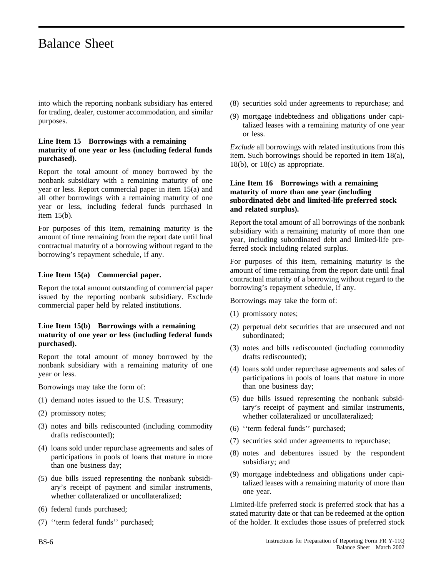into which the reporting nonbank subsidiary has entered for trading, dealer, customer accommodation, and similar purposes.

#### **Line Item 15 Borrowings with a remaining maturity of one year or less (including federal funds purchased).**

Report the total amount of money borrowed by the nonbank subsidiary with a remaining maturity of one year or less. Report commercial paper in item 15(a) and all other borrowings with a remaining maturity of one year or less, including federal funds purchased in item 15(b).

For purposes of this item, remaining maturity is the amount of time remaining from the report date until final contractual maturity of a borrowing without regard to the borrowing's repayment schedule, if any.

#### **Line Item 15(a) Commercial paper.**

Report the total amount outstanding of commercial paper issued by the reporting nonbank subsidiary. Exclude commercial paper held by related institutions.

#### **Line Item 15(b) Borrowings with a remaining maturity of one year or less (including federal funds purchased).**

Report the total amount of money borrowed by the nonbank subsidiary with a remaining maturity of one year or less.

Borrowings may take the form of:

- (1) demand notes issued to the U.S. Treasury;
- (2) promissory notes;
- (3) notes and bills rediscounted (including commodity drafts rediscounted);
- (4) loans sold under repurchase agreements and sales of participations in pools of loans that mature in more than one business day;
- (5) due bills issued representing the nonbank subsidiary's receipt of payment and similar instruments, whether collateralized or uncollateralized;
- (6) federal funds purchased;
- (7) ''term federal funds'' purchased;
- (8) securities sold under agreements to repurchase; and
- (9) mortgage indebtedness and obligations under capitalized leases with a remaining maturity of one year or less.

*Exclude* all borrowings with related institutions from this item. Such borrowings should be reported in item 18(a), 18(b), or 18(c) as appropriate.

#### **Line Item 16 Borrowings with a remaining maturity of more than one year (including subordinated debt and limited-life preferred stock and related surplus).**

Report the total amount of all borrowings of the nonbank subsidiary with a remaining maturity of more than one year, including subordinated debt and limited-life preferred stock including related surplus.

For purposes of this item, remaining maturity is the amount of time remaining from the report date until final contractual maturity of a borrowing without regard to the borrowing's repayment schedule, if any.

Borrowings may take the form of:

- (1) promissory notes;
- (2) perpetual debt securities that are unsecured and not subordinated;
- (3) notes and bills rediscounted (including commodity drafts rediscounted);
- (4) loans sold under repurchase agreements and sales of participations in pools of loans that mature in more than one business day;
- (5) due bills issued representing the nonbank subsidiary's receipt of payment and similar instruments, whether collateralized or uncollateralized;
- (6) ''term federal funds'' purchased;
- (7) securities sold under agreements to repurchase;
- (8) notes and debentures issued by the respondent subsidiary; and
- (9) mortgage indebtedness and obligations under capitalized leases with a remaining maturity of more than one year.

Limited-life preferred stock is preferred stock that has a stated maturity date or that can be redeemed at the option of the holder. It excludes those issues of preferred stock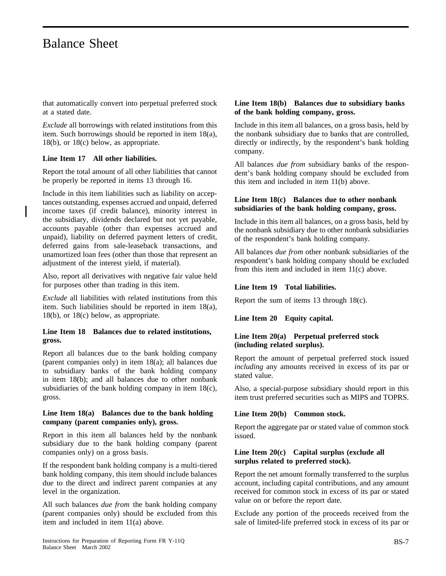that automatically convert into perpetual preferred stock at a stated date.

*Exclude* all borrowings with related institutions from this item. Such borrowings should be reported in item 18(a), 18(b), or 18(c) below, as appropriate.

#### **Line Item 17 All other liabilities.**

Report the total amount of all other liabilities that cannot be properly be reported in items 13 through 16.

Include in this item liabilities such as liability on acceptances outstanding, expenses accrued and unpaid, deferred income taxes (if credit balance), minority interest in the subsidiary, dividends declared but not yet payable, accounts payable (other than expenses accrued and unpaid), liability on deferred payment letters of credit, deferred gains from sale-leaseback transactions, and unamortized loan fees (other than those that represent an adjustment of the interest yield, if material).

Also, report all derivatives with negative fair value held for purposes other than trading in this item.

*Exclude* all liabilities with related institutions from this item. Such liabilities should be reported in item 18(a), 18(b), or 18(c) below, as appropriate.

#### **Line Item 18 Balances due to related institutions, gross.**

Report all balances due to the bank holding company (parent companies only) in item 18(a); all balances due to subsidiary banks of the bank holding company in item 18(b); and all balances due to other nonbank subsidiaries of the bank holding company in item 18(c), gross.

#### **Line Item 18(a) Balances due to the bank holding company (parent companies only), gross.**

Report in this item all balances held by the nonbank subsidiary due to the bank holding company (parent companies only) on a gross basis.

If the respondent bank holding company is a multi-tiered bank holding company, this item should include balances due to the direct and indirect parent companies at any level in the organization.

All such balances *due from* the bank holding company (parent companies only) should be excluded from this item and included in item 11(a) above.

#### **Line Item 18(b) Balances due to subsidiary banks of the bank holding company, gross.**

Include in this item all balances, on a gross basis, held by the nonbank subsidiary due to banks that are controlled, directly or indirectly, by the respondent's bank holding company.

All balances *due from* subsidiary banks of the respondent's bank holding company should be excluded from this item and included in item 11(b) above.

#### **Line Item 18(c) Balances due to other nonbank subsidiaries of the bank holding company, gross.**

Include in this item all balances, on a gross basis, held by the nonbank subsidiary due to other nonbank subsidiaries of the respondent's bank holding company.

All balances *due from* other nonbank subsidiaries of the respondent's bank holding company should be excluded from this item and included in item 11(c) above.

#### **Line Item 19 Total liabilities.**

Report the sum of items 13 through 18(c).

**Line Item 20 Equity capital.**

#### **Line Item 20(a) Perpetual preferred stock (including related surplus).**

Report the amount of perpetual preferred stock issued *including* any amounts received in excess of its par or stated value.

Also, a special-purpose subsidiary should report in this item trust preferred securities such as MIPS and TOPRS.

#### **Line Item 20(b) Common stock.**

Report the aggregate par or stated value of common stock issued.

#### **Line Item 20(c) Capital surplus (exclude all surplus related to preferred stock).**

Report the net amount formally transferred to the surplus account, including capital contributions, and any amount received for common stock in excess of its par or stated value on or before the report date.

Exclude any portion of the proceeds received from the sale of limited-life preferred stock in excess of its par or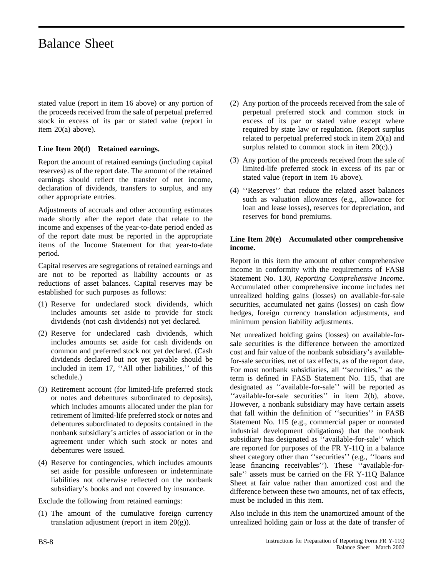stated value (report in item 16 above) or any portion of the proceeds received from the sale of perpetual preferred stock in excess of its par or stated value (report in item 20(a) above).

#### **Line Item 20(d) Retained earnings.**

Report the amount of retained earnings (including capital reserves) as of the report date. The amount of the retained earnings should reflect the transfer of net income, declaration of dividends, transfers to surplus, and any other appropriate entries.

Adjustments of accruals and other accounting estimates made shortly after the report date that relate to the income and expenses of the year-to-date period ended as of the report date must be reported in the appropriate items of the Income Statement for that year-to-date period.

Capital reserves are segregations of retained earnings and are not to be reported as liability accounts or as reductions of asset balances. Capital reserves may be established for such purposes as follows:

- (1) Reserve for undeclared stock dividends, which includes amounts set aside to provide for stock dividends (not cash dividends) not yet declared.
- (2) Reserve for undeclared cash dividends, which includes amounts set aside for cash dividends on common and preferred stock not yet declared. (Cash dividends declared but not yet payable should be included in item 17, ''All other liabilities,'' of this schedule.)
- (3) Retirement account (for limited-life preferred stock or notes and debentures subordinated to deposits), which includes amounts allocated under the plan for retirement of limited-life preferred stock or notes and debentures subordinated to deposits contained in the nonbank subsidiary's articles of association or in the agreement under which such stock or notes and debentures were issued.
- (4) Reserve for contingencies, which includes amounts set aside for possible unforeseen or indeterminate liabilities not otherwise reflected on the nonbank subsidiary's books and not covered by insurance.

Exclude the following from retained earnings:

(1) The amount of the cumulative foreign currency translation adjustment (report in item  $20(g)$ ).

- (2) Any portion of the proceeds received from the sale of perpetual preferred stock and common stock in excess of its par or stated value except where required by state law or regulation. (Report surplus related to perpetual preferred stock in item 20(a) and surplus related to common stock in item  $20(c)$ .)
- (3) Any portion of the proceeds received from the sale of limited-life preferred stock in excess of its par or stated value (report in item 16 above).
- (4) ''Reserves'' that reduce the related asset balances such as valuation allowances (e.g., allowance for loan and lease losses), reserves for depreciation, and reserves for bond premiums.

#### **Line Item 20(e) Accumulated other comprehensive income.**

Report in this item the amount of other comprehensive income in conformity with the requirements of FASB Statement No. 130, *Reporting Comprehensive Income*. Accumulated other comprehensive income includes net unrealized holding gains (losses) on available-for-sale securities, accumulated net gains (losses) on cash flow hedges, foreign currency translation adjustments, and minimum pension liability adjustments.

Net unrealized holding gains (losses) on available-forsale securities is the difference between the amortized cost and fair value of the nonbank subsidiary's availablefor-sale securities, net of tax effects, as of the report date. For most nonbank subsidiaries, all ''securities,'' as the term is defined in FASB Statement No. 115, that are designated as ''available-for-sale'' will be reported as ''available-for-sale securities'' in item 2(b), above. However, a nonbank subsidiary may have certain assets that fall within the definition of ''securities'' in FASB Statement No. 115 (e.g., commercial paper or nonrated industrial development obligations) that the nonbank subsidiary has designated as ''available-for-sale'' which are reported for purposes of the FR Y-11Q in a balance sheet category other than ''securities'' (e.g., ''loans and lease financing receivables''). These ''available-forsale'' assets must be carried on the FR Y-11Q Balance Sheet at fair value rather than amortized cost and the difference between these two amounts, net of tax effects, must be included in this item.

Also include in this item the unamortized amount of the unrealized holding gain or loss at the date of transfer of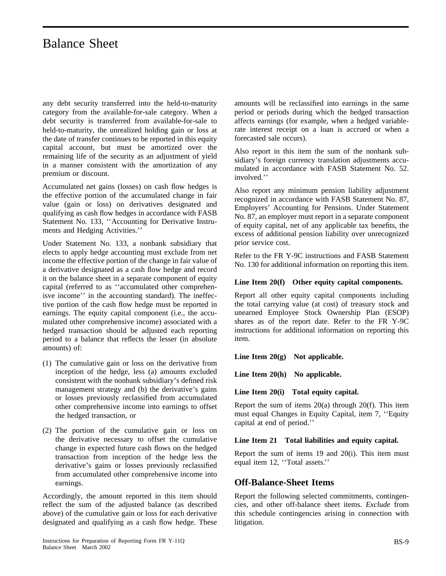any debt security transferred into the held-to-maturity category from the available-for-sale category. When a debt security is transferred from available-for-sale to held-to-maturity, the unrealized holding gain or loss at the date of transfer continues to be reported in this equity capital account, but must be amortized over the remaining life of the security as an adjustment of yield in a manner consistent with the amortization of any premium or discount.

Accumulated net gains (losses) on cash flow hedges is the effective portion of the accumulated change in fair value (gain or loss) on derivatives designated and qualifying as cash flow hedges in accordance with FASB Statement No. 133, ''Accounting for Derivative Instruments and Hedging Activities.''

Under Statement No. 133, a nonbank subsidiary that elects to apply hedge accounting must exclude from net income the effective portion of the change in fair value of a derivative designated as a cash flow hedge and record it on the balance sheet in a separate component of equity capital (referred to as ''accumulated other comprehenisve income'' in the accounting standard). The ineffective portion of the cash flow hedge must be reported in earnings. The equity capital component (i.e., the accumulated other comprehensive income) associated with a hedged transaction should be adjusted each reporting period to a balance that reflects the lesser (in absolute amounts) of:

- (1) The cumulative gain or loss on the derivative from inception of the hedge, less (a) amounts excluded consistent with the nonbank subsidiary's defined risk management strategy and (b) the derivative's gains or losses previously reclassified from accumulated other comprehensive income into earnings to offset the hedged transaction, or
- (2) The portion of the cumulative gain or loss on the derivative necessary to offset the cumulative change in expected future cash flows on the hedged transaction from inception of the hedge less the derivative's gains or losses previously reclassified from accumulated other comprehensive income into earnings.

Accordingly, the amount reported in this item should reflect the sum of the adjusted balance (as described above) of the cumulative gain or loss for each derivative designated and qualifying as a cash flow hedge. These

amounts will be reclassified into earnings in the same period or periods during which the hedged transaction affects earnings (for example, when a hedged variablerate interest receipt on a loan is accrued or when a forecasted sale occurs).

Also report in this item the sum of the nonbank subsidiary's foreign currency translation adjustments accumulated in accordance with FASB Statement No. 52. involved.''

Also report any minimum pension liability adjustment recognized in accordance with FASB Statement No. 87, Employers' Accounting for Pensions. Under Statement No. 87, an employer must report in a separate component of equity capital, net of any applicable tax benefits, the excess of additional pension liability over unrecognized prior service cost.

Refer to the FR Y-9C instructions and FASB Statement No. 130 for additional information on reporting this item.

#### **Line Item 20(f) Other equity capital components.**

Report all other equity capital components including the total carrying value (at cost) of treasury stock and unearned Employee Stock Ownership Plan (ESOP) shares as of the report date. Refer to the FR Y-9C instructions for additional information on reporting this item.

**Line Item 20(g) Not applicable.**

**Line Item 20(h) No applicable.**

#### **Line Item 20(i) Total equity capital.**

Report the sum of items  $20(a)$  through  $20(f)$ . This item must equal Changes in Equity Capital, item 7, ''Equity capital at end of period.''

#### **Line Item 21 Total liabilities and equity capital.**

Report the sum of items 19 and 20(i). This item must equal item 12, ''Total assets.''

#### **Off-Balance-Sheet Items**

Report the following selected commitments, contingencies, and other off-balance sheet items. *Exclude* from this schedule contingencies arising in connection with litigation.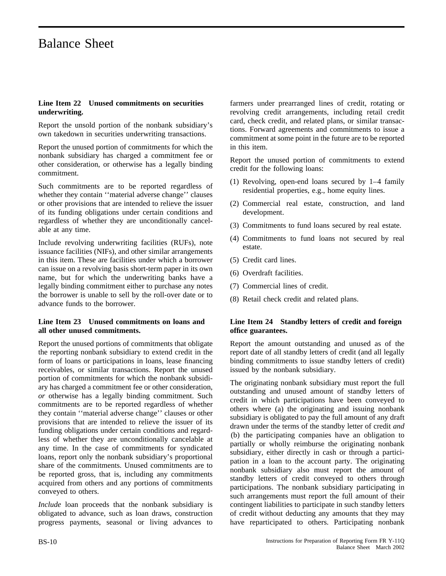#### **Line Item 22 Unused commitments on securities underwriting.**

Report the unsold portion of the nonbank subsidiary's own takedown in securities underwriting transactions.

Report the unused portion of commitments for which the nonbank subsidiary has charged a commitment fee or other consideration, or otherwise has a legally binding commitment.

Such commitments are to be reported regardless of whether they contain ''material adverse change'' clauses or other provisions that are intended to relieve the issuer of its funding obligations under certain conditions and regardless of whether they are unconditionally cancelable at any time.

Include revolving underwriting facilities (RUFs), note issuance facilities (NIFs), and other similar arrangements in this item. These are facilities under which a borrower can issue on a revolving basis short-term paper in its own name, but for which the underwriting banks have a legally binding commitment either to purchase any notes the borrower is unable to sell by the roll-over date or to advance funds to the borrower.

#### **Line Item 23 Unused commitments on loans and all other unused commitments.**

Report the unused portions of commitments that obligate the reporting nonbank subsidiary to extend credit in the form of loans or participations in loans, lease financing receivables, or similar transactions. Report the unused portion of commitments for which the nonbank subsidiary has charged a commitment fee or other consideration, *or* otherwise has a legally binding commitment. Such commitments are to be reported regardless of whether they contain ''material adverse change'' clauses or other provisions that are intended to relieve the issuer of its funding obligations under certain conditions and regardless of whether they are unconditionally cancelable at any time. In the case of commitments for syndicated loans, report only the nonbank subsidiary's proportional share of the commitments. Unused commitments are to be reported gross, that is, including any commitments acquired from others and any portions of commitments conveyed to others.

*Include* loan proceeds that the nonbank subsidiary is obligated to advance, such as loan draws, construction progress payments, seasonal or living advances to

farmers under prearranged lines of credit, rotating or revolving credit arrangements, including retail credit card, check credit, and related plans, or similar transactions. Forward agreements and commitments to issue a commitment at some point in the future are to be reported in this item.

Report the unused portion of commitments to extend credit for the following loans:

- (1) Revolving, open-end loans secured by 1–4 family residential properties, e.g., home equity lines.
- (2) Commercial real estate, construction, and land development.
- (3) Commitments to fund loans secured by real estate.
- (4) Commitments to fund loans not secured by real estate.
- (5) Credit card lines.
- (6) Overdraft facilities.
- (7) Commercial lines of credit.
- (8) Retail check credit and related plans.

#### **Line Item 24 Standby letters of credit and foreign office guarantees.**

Report the amount outstanding and unused as of the report date of all standby letters of credit (and all legally binding commitments to issue standby letters of credit) issued by the nonbank subsidiary.

The originating nonbank subsidiary must report the full outstanding and unused amount of standby letters of credit in which participations have been conveyed to others where (a) the originating and issuing nonbank subsidiary is obligated to pay the full amount of any draft drawn under the terms of the standby letter of credit *and* (b) the participating companies have an obligation to partially or wholly reimburse the originating nonbank subsidiary, either directly in cash or through a participation in a loan to the account party. The originating nonbank subsidiary also must report the amount of standby letters of credit conveyed to others through participations. The nonbank subsidiary participating in such arrangements must report the full amount of their contingent liabilities to participate in such standby letters of credit without deducting any amounts that they may have reparticipated to others. Participating nonbank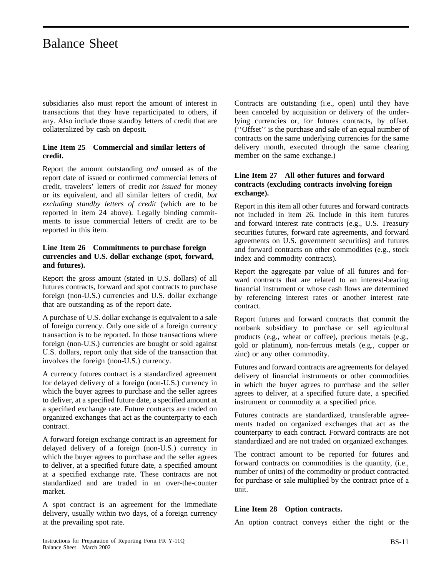subsidiaries also must report the amount of interest in transactions that they have reparticipated to others, if any. Also include those standby letters of credit that are collateralized by cash on deposit.

#### **Line Item 25 Commercial and similar letters of credit.**

Report the amount outstanding *and* unused as of the report date of issued or confirmed commercial letters of credit, travelers' letters of credit *not issued* for money or its equivalent, and all similar letters of credit, *but excluding standby letters of credit* (which are to be reported in item 24 above). Legally binding commitments to issue commercial letters of credit are to be reported in this item.

#### **Line Item 26 Commitments to purchase foreign currencies and U.S. dollar exchange (spot, forward, and futures).**

Report the gross amount (stated in U.S. dollars) of all futures contracts, forward and spot contracts to purchase foreign (non-U.S.) currencies and U.S. dollar exchange that are outstanding as of the report date.

A purchase of U.S. dollar exchange is equivalent to a sale of foreign currency. Only one side of a foreign currency transaction is to be reported. In those transactions where foreign (non-U.S.) currencies are bought or sold against U.S. dollars, report only that side of the transaction that involves the foreign (non-U.S.) currency.

A currency futures contract is a standardized agreement for delayed delivery of a foreign (non-U.S.) currency in which the buyer agrees to purchase and the seller agrees to deliver, at a specified future date, a specified amount at a specified exchange rate. Future contracts are traded on organized exchanges that act as the counterparty to each contract.

A forward foreign exchange contract is an agreement for delayed delivery of a foreign (non-U.S.) currency in which the buyer agrees to purchase and the seller agrees to deliver, at a specified future date, a specified amount at a specified exchange rate. These contracts are not standardized and are traded in an over-the-counter market.

A spot contract is an agreement for the immediate delivery, usually within two days, of a foreign currency at the prevailing spot rate.

Contracts are outstanding (i.e., open) until they have been canceled by acquisition or delivery of the underlying currencies or, for futures contracts, by offset. (''Offset'' is the purchase and sale of an equal number of contracts on the same underlying currencies for the same delivery month, executed through the same clearing member on the same exchange.)

#### **Line Item 27 All other futures and forward contracts (excluding contracts involving foreign exchange).**

Report in this item all other futures and forward contracts not included in item 26. Include in this item futures and forward interest rate contracts (e.g., U.S. Treasury securities futures, forward rate agreements, and forward agreements on U.S. government securities) and futures and forward contracts on other commodities (e.g., stock index and commodity contracts).

Report the aggregate par value of all futures and forward contracts that are related to an interest-bearing financial instrument or whose cash flows are determined by referencing interest rates or another interest rate contract.

Report futures and forward contracts that commit the nonbank subsidiary to purchase or sell agricultural products (e.g., wheat or coffee), precious metals (e.g., gold or platinum), non-ferrous metals (e.g., copper or zinc) or any other commodity.

Futures and forward contracts are agreements for delayed delivery of financial instruments or other commodities in which the buyer agrees to purchase and the seller agrees to deliver, at a specified future date, a specified instrument or commodity at a specified price.

Futures contracts are standardized, transferable agreements traded on organized exchanges that act as the counterparty to each contract. Forward contracts are not standardized and are not traded on organized exchanges.

The contract amount to be reported for futures and forward contracts on commodities is the quantity, (i.e., number of units) of the commodity or product contracted for purchase or sale multiplied by the contract price of a unit.

#### **Line Item 28 Option contracts.**

An option contract conveys either the right or the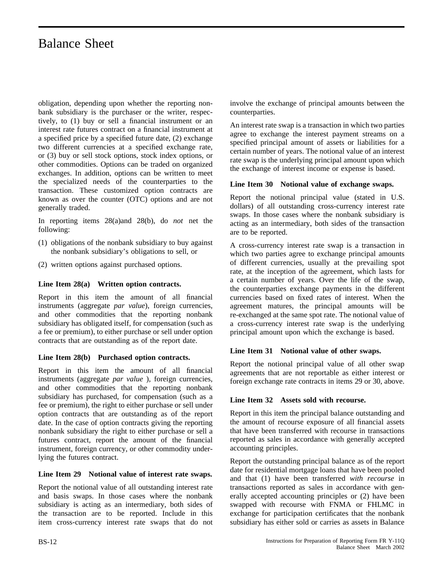obligation, depending upon whether the reporting nonbank subsidiary is the purchaser or the writer, respectively, to (1) buy or sell a financial instrument or an interest rate futures contract on a financial instrument at a specified price by a specified future date, (2) exchange two different currencies at a specified exchange rate, or (3) buy or sell stock options, stock index options, or other commodities. Options can be traded on organized exchanges. In addition, options can be written to meet the specialized needs of the counterparties to the transaction. These customized option contracts are known as over the counter (OTC) options and are not generally traded.

In reporting items 28(a)and 28(b), do *not* net the following:

- (1) obligations of the nonbank subsidiary to buy against the nonbank subsidiary's obligations to sell, or
- (2) written options against purchased options.

#### **Line Item 28(a) Written option contracts.**

Report in this item the amount of all financial instruments (aggregate *par value*), foreign currencies, and other commodities that the reporting nonbank subsidiary has obligated itself, for compensation (such as a fee or premium), to either purchase or sell under option contracts that are outstanding as of the report date.

#### **Line Item 28(b) Purchased option contracts.**

Report in this item the amount of all financial instruments (aggregate *par value* ), foreign currencies, and other commodities that the reporting nonbank subsidiary has purchased, for compensation (such as a fee or premium), the right to either purchase or sell under option contracts that are outstanding as of the report date. In the case of option contracts giving the reporting nonbank subsidiary the right to either purchase or sell a futures contract, report the amount of the financial instrument, foreign currency, or other commodity underlying the futures contract.

#### **Line Item 29 Notional value of interest rate swaps.**

Report the notional value of all outstanding interest rate and basis swaps. In those cases where the nonbank subsidiary is acting as an intermediary, both sides of the transaction are to be reported. Include in this item cross-currency interest rate swaps that do not

involve the exchange of principal amounts between the counterparties.

An interest rate swap is a transaction in which two parties agree to exchange the interest payment streams on a specified principal amount of assets or liabilities for a certain number of years. The notional value of an interest rate swap is the underlying principal amount upon which the exchange of interest income or expense is based.

#### **Line Item 30 Notional value of exchange swaps.**

Report the notional principal value (stated in U.S. dollars) of all outstanding cross-currency interest rate swaps. In those cases where the nonbank subsidiary is acting as an intermediary, both sides of the transaction are to be reported.

A cross-currency interest rate swap is a transaction in which two parties agree to exchange principal amounts of different currencies, usually at the prevailing spot rate, at the inception of the agreement, which lasts for a certain number of years. Over the life of the swap, the counterparties exchange payments in the different currencies based on fixed rates of interest. When the agreement matures, the principal amounts will be re-exchanged at the same spot rate. The notional value of a cross-currency interest rate swap is the underlying principal amount upon which the exchange is based.

#### **Line Item 31 Notional value of other swaps.**

Report the notional principal value of all other swap agreements that are not reportable as either interest or foreign exchange rate contracts in items 29 or 30, above.

#### **Line Item 32 Assets sold with recourse.**

Report in this item the principal balance outstanding and the amount of recourse exposure of all financial assets that have been transferred with recourse in transactions reported as sales in accordance with generally accepted accounting principles.

Report the outstanding principal balance as of the report date for residential mortgage loans that have been pooled and that (1) have been transferred *with recourse* in transactions reported as sales in accordance with generally accepted accounting principles or (2) have been swapped with recourse with FNMA or FHLMC in exchange for participation certificates that the nonbank subsidiary has either sold or carries as assets in Balance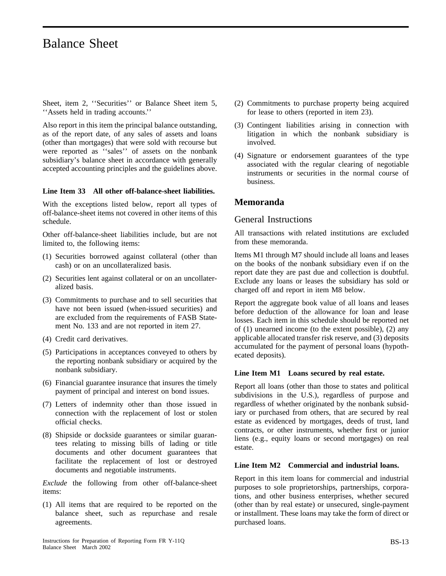Sheet, item 2, ''Securities'' or Balance Sheet item 5, ''Assets held in trading accounts.''

Also report in this item the principal balance outstanding, as of the report date, of any sales of assets and loans (other than mortgages) that were sold with recourse but were reported as ''sales'' of assets on the nonbank subsidiary's balance sheet in accordance with generally accepted accounting principles and the guidelines above.

#### **Line Item 33 All other off-balance-sheet liabilities.**

With the exceptions listed below, report all types of off-balance-sheet items not covered in other items of this schedule.

Other off-balance-sheet liabilities include, but are not limited to, the following items:

- (1) Securities borrowed against collateral (other than cash) or on an uncollateralized basis.
- (2) Securities lent against collateral or on an uncollateralized basis.
- (3) Commitments to purchase and to sell securities that have not been issued (when-issued securities) and are excluded from the requirements of FASB Statement No. 133 and are not reported in item 27.
- (4) Credit card derivatives.
- (5) Participations in acceptances conveyed to others by the reporting nonbank subsidiary or acquired by the nonbank subsidiary.
- (6) Financial guarantee insurance that insures the timely payment of principal and interest on bond issues.
- (7) Letters of indemnity other than those issued in connection with the replacement of lost or stolen official checks.
- (8) Shipside or dockside guarantees or similar guarantees relating to missing bills of lading or title documents and other document guarantees that facilitate the replacement of lost or destroyed documents and negotiable instruments.

*Exclude* the following from other off-balance-sheet items:

(1) All items that are required to be reported on the balance sheet, such as repurchase and resale agreements.

- (2) Commitments to purchase property being acquired for lease to others (reported in item 23).
- (3) Contingent liabilities arising in connection with litigation in which the nonbank subsidiary is involved.
- (4) Signature or endorsement guarantees of the type associated with the regular clearing of negotiable instruments or securities in the normal course of business.

#### **Memoranda**

#### General Instructions

All transactions with related institutions are excluded from these memoranda.

Items M1 through M7 should include all loans and leases on the books of the nonbank subsidiary even if on the report date they are past due and collection is doubtful. Exclude any loans or leases the subsidiary has sold or charged off and report in item M8 below.

Report the aggregate book value of all loans and leases before deduction of the allowance for loan and lease losses. Each item in this schedule should be reported net of (1) unearned income (to the extent possible), (2) any applicable allocated transfer risk reserve, and (3) deposits accumulated for the payment of personal loans (hypothecated deposits).

#### **Line Item M1 Loans secured by real estate.**

Report all loans (other than those to states and political subdivisions in the U.S.), regardless of purpose and regardless of whether originated by the nonbank subsidiary or purchased from others, that are secured by real estate as evidenced by mortgages, deeds of trust, land contracts, or other instruments, whether first or junior liens (e.g., equity loans or second mortgages) on real estate.

#### **Line Item M2 Commercial and industrial loans.**

Report in this item loans for commercial and industrial purposes to sole proprietorships, partnerships, corporations, and other business enterprises, whether secured (other than by real estate) or unsecured, single-payment or installment. These loans may take the form of direct or purchased loans.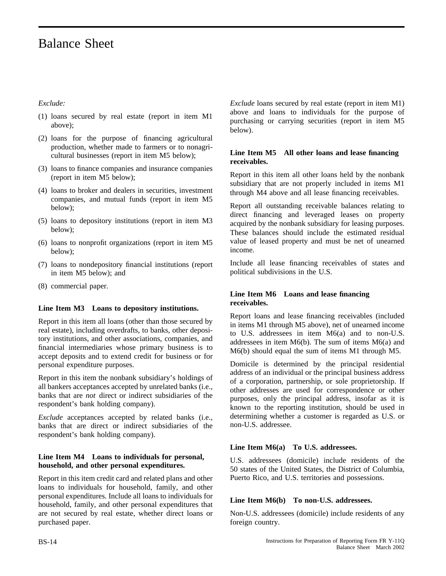#### *Exclude:*

- (1) loans secured by real estate (report in item M1 above);
- (2) loans for the purpose of financing agricultural production, whether made to farmers or to nonagricultural businesses (report in item M5 below);
- (3) loans to finance companies and insurance companies (report in item M5 below);
- (4) loans to broker and dealers in securities, investment companies, and mutual funds (report in item M5 below);
- (5) loans to depository institutions (report in item M3 below);
- (6) loans to nonprofit organizations (report in item M5 below);
- (7) loans to nondepository financial institutions (report in item M5 below); and
- (8) commercial paper.

#### **Line Item M3 Loans to depository institutions.**

Report in this item all loans (other than those secured by real estate), including overdrafts, to banks, other depository institutions, and other associations, companies, and financial intermediaries whose primary business is to accept deposits and to extend credit for business or for personal expenditure purposes.

Report in this item the nonbank subsidiary's holdings of all bankers acceptances accepted by unrelated banks (i.e., banks that are *not* direct or indirect subsidiaries of the respondent's bank holding company).

*Exclude* acceptances accepted by related banks (i.e., banks that are direct or indirect subsidiaries of the respondent's bank holding company).

#### **Line Item M4 Loans to individuals for personal, household, and other personal expenditures.**

Report in this item credit card and related plans and other loans to individuals for household, family, and other personal expenditures. Include all loans to individuals for household, family, and other personal expenditures that are not secured by real estate, whether direct loans or purchased paper.

*Exclude* loans secured by real estate (report in item M1) above and loans to individuals for the purpose of purchasing or carrying securities (report in item M5 below).

#### **Line Item M5 All other loans and lease financing receivables.**

Report in this item all other loans held by the nonbank subsidiary that are not properly included in items M1 through M4 above and all lease financing receivables.

Report all outstanding receivable balances relating to direct financing and leveraged leases on property acquired by the nonbank subsidiary for leasing purposes. These balances should include the estimated residual value of leased property and must be net of unearned income.

Include all lease financing receivables of states and political subdivisions in the U.S.

#### **Line Item M6 Loans and lease financing receivables.**

Report loans and lease financing receivables (included in items M1 through M5 above), net of unearned income to U.S. addressees in item M6(a) and to non-U.S. addressees in item M6(b). The sum of items M6(a) and M6(b) should equal the sum of items M1 through M5.

Domicile is determined by the principal residential address of an individual or the principal business address of a corporation, partnership, or sole proprietorship. If other addresses are used for correspondence or other purposes, only the principal address, insofar as it is known to the reporting institution, should be used in determining whether a customer is regarded as U.S. or non-U.S. addressee.

#### **Line Item M6(a) To U.S. addressees.**

U.S. addressees (domicile) include residents of the 50 states of the United States, the District of Columbia, Puerto Rico, and U.S. territories and possessions.

#### **Line Item M6(b) To non-U.S. addressees.**

Non-U.S. addressees (domicile) include residents of any foreign country.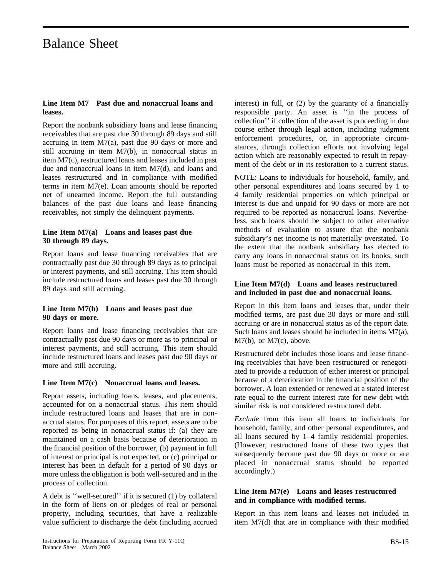#### **Line Item M7 Past due and nonaccrual loans and leases.**

Report the nonbank subsidiary loans and lease financing receivables that are past due 30 through 89 days and still accruing in item M7(a), past due 90 days or more and still accruing in item M7(b), in nonaccrual status in item M7(c), restructured loans and leases included in past due and nonaccrual loans in item M7(d), and loans and leases restructured and in compliance with modified terms in item M7(e). Loan amounts should be reported net of unearned income. Report the full outstanding balances of the past due loans and lease financing receivables, not simply the delinquent payments.

#### **Line Item M7(a) Loans and leases past due 30 through 89 days.**

Report loans and lease financing receivables that are contractually past due 30 through 89 days as to principal or interest payments, and still accruing. This item should include restructured loans and leases past due 30 through 89 days and still accruing.

#### **Line Item M7(b) Loans and leases past due 90 days or more.**

Report loans and lease financing receivables that are contractually past due 90 days or more as to principal or interest payments, and still accruing. This item should include restructured loans and leases past due 90 days or more and still accruing.

#### **Line Item M7(c) Nonaccrual loans and leases.**

Report assets, including loans, leases, and placements, accounted for on a nonaccrual status. This item should include restructured loans and leases that are in nonaccrual status. For purposes of this report, assets are to be reported as being in nonaccrual status if: (a) they are maintained on a cash basis because of deterioration in the financial position of the borrower, (b) payment in full of interest or principal is not expected, or (c) principal or interest has been in default for a period of 90 days or more unless the obligation is both well-secured and in the process of collection.

A debt is ''well-secured'' if it is secured (1) by collateral in the form of liens on or pledges of real or personal property, including securities, that have a realizable value sufficient to discharge the debt (including accrued interest) in full, or (2) by the guaranty of a financially responsible party. An asset is ''in the process of collection'' if collection of the asset is proceeding in due course either through legal action, including judgment enforcement procedures, or, in appropriate circumstances, through collection efforts not involving legal action which are reasonably expected to result in repayment of the debt or in its restoration to a current status.

NOTE: Loans to individuals for household, family, and other personal expenditures and loans secured by 1 to 4 family residential properties on which principal or interest is due and unpaid for 90 days or more are not required to be reported as nonaccrual loans. Nevertheless, such loans should be subject to other alternative methods of evaluation to assure that the nonbank subsidiary's net income is not materially overstated. To the extent that the nonbank subsidiary has elected to carry any loans in nonaccrual status on its books, such loans must be reported as nonaccrual in this item.

#### **Line Item M7(d) Loans and leases restructured and included in past due and nonaccrual loans.**

Report in this item loans and leases that, under their modified terms, are past due 30 days or more and still accruing or are in nonaccrual status as of the report date. Such loans and leases should be included in items M7(a), M7(b), or M7(c), above.

Restructured debt includes those loans and lease financing receivables that have been restructured or renegotiated to provide a reduction of either interest or principal because of a deterioration in the financial position of the borrower. A loan extended or renewed at a stated interest rate equal to the current interest rate for new debt with similar risk is not considered restructured debt.

*Exclude* from this item all loans to individuals for household, family, and other personal expenditures, and all loans secured by 1–4 family residential properties. (However, restructured loans of these two types that subsequently become past due 90 days or more or are placed in nonaccrual status should be reported accordingly.)

#### **Line Item M7(e) Loans and leases restructured and in compliance with modified terms.**

Report in this item loans and leases not included in item M7(d) that are in compliance with their modified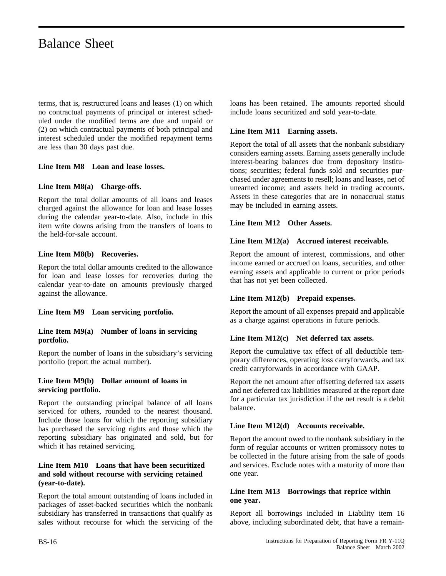terms, that is, restructured loans and leases (1) on which no contractual payments of principal or interest scheduled under the modified terms are due and unpaid or (2) on which contractual payments of both principal and interest scheduled under the modified repayment terms are less than 30 days past due.

#### **Line Item M8 Loan and lease losses.**

#### **Line Item M8(a) Charge-offs.**

Report the total dollar amounts of all loans and leases charged against the allowance for loan and lease losses during the calendar year-to-date. Also, include in this item write downs arising from the transfers of loans to the held-for-sale account.

#### **Line Item M8(b) Recoveries.**

Report the total dollar amounts credited to the allowance for loan and lease losses for recoveries during the calendar year-to-date on amounts previously charged against the allowance.

#### **Line Item M9 Loan servicing portfolio.**

#### **Line Item M9(a) Number of loans in servicing portfolio.**

Report the number of loans in the subsidiary's servicing portfolio (report the actual number).

#### **Line Item M9(b) Dollar amount of loans in servicing portfolio.**

Report the outstanding principal balance of all loans serviced for others, rounded to the nearest thousand. Include those loans for which the reporting subsidiary has purchased the servicing rights and those which the reporting subsidiary has originated and sold, but for which it has retained servicing.

#### **Line Item M10 Loans that have been securitized and sold without recourse with servicing retained (year-to-date).**

Report the total amount outstanding of loans included in packages of asset-backed securities which the nonbank subsidiary has transferred in transactions that qualify as sales without recourse for which the servicing of the

loans has been retained. The amounts reported should include loans securitized and sold year-to-date.

#### **Line Item M11 Earning assets.**

Report the total of all assets that the nonbank subsidiary considers earning assets. Earning assets generally include interest-bearing balances due from depository institutions; securities; federal funds sold and securities purchased under agreements to resell; loans and leases, net of unearned income; and assets held in trading accounts. Assets in these categories that are in nonaccrual status may be included in earning assets.

#### **Line Item M12 Other Assets.**

#### **Line Item M12(a) Accrued interest receivable.**

Report the amount of interest, commissions, and other income earned or accrued on loans, securities, and other earning assets and applicable to current or prior periods that has not yet been collected.

#### **Line Item M12(b) Prepaid expenses.**

Report the amount of all expenses prepaid and applicable as a charge against operations in future periods.

#### **Line Item M12(c) Net deferred tax assets.**

Report the cumulative tax effect of all deductible temporary differences, operating loss carryforwards, and tax credit carryforwards in accordance with GAAP.

Report the net amount after offsetting deferred tax assets and net deferred tax liabilities measured at the report date for a particular tax jurisdiction if the net result is a debit balance.

#### **Line Item M12(d) Accounts receivable.**

Report the amount owed to the nonbank subsidiary in the form of regular accounts or written promissory notes to be collected in the future arising from the sale of goods and services. Exclude notes with a maturity of more than one year.

#### **Line Item M13 Borrowings that reprice within one year.**

Report all borrowings included in Liability item 16 above, including subordinated debt, that have a remain-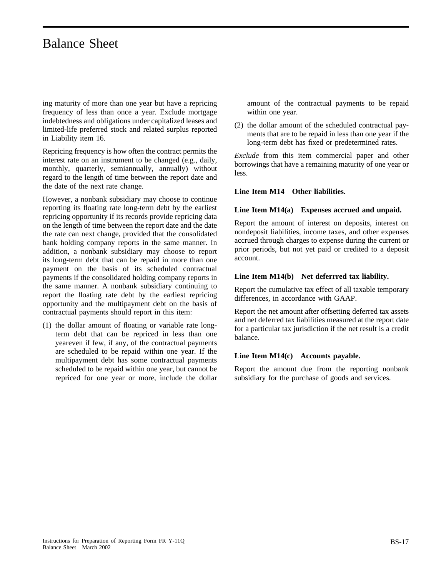ing maturity of more than one year but have a repricing frequency of less than once a year. Exclude mortgage indebtedness and obligations under capitalized leases and limited-life preferred stock and related surplus reported in Liability item 16.

Repricing frequency is how often the contract permits the interest rate on an instrument to be changed (e.g., daily, monthly, quarterly, semiannually, annually) without regard to the length of time between the report date and the date of the next rate change.

However, a nonbank subsidiary may choose to continue reporting its floating rate long-term debt by the earliest repricing opportunity if its records provide repricing data on the length of time between the report date and the date the rate can next change, provided that the consolidated bank holding company reports in the same manner. In addition, a nonbank subsidiary may choose to report its long-term debt that can be repaid in more than one payment on the basis of its scheduled contractual payments if the consolidated holding company reports in the same manner. A nonbank subsidiary continuing to report the floating rate debt by the earliest repricing opportunity and the multipayment debt on the basis of contractual payments should report in this item:

(1) the dollar amount of floating or variable rate longterm debt that can be repriced in less than one yeareven if few, if any, of the contractual payments are scheduled to be repaid within one year. If the multipayment debt has some contractual payments scheduled to be repaid within one year, but cannot be repriced for one year or more, include the dollar

amount of the contractual payments to be repaid within one year.

(2) the dollar amount of the scheduled contractual payments that are to be repaid in less than one year if the long-term debt has fixed or predetermined rates.

*Exclude* from this item commercial paper and other borrowings that have a remaining maturity of one year or less.

#### **Line Item M14 Other liabilities.**

#### **Line Item M14(a) Expenses accrued and unpaid.**

Report the amount of interest on deposits, interest on nondeposit liabilities, income taxes, and other expenses accrued through charges to expense during the current or prior periods, but not yet paid or credited to a deposit account.

#### **Line Item M14(b) Net deferrred tax liability.**

Report the cumulative tax effect of all taxable temporary differences, in accordance with GAAP.

Report the net amount after offsetting deferred tax assets and net deferred tax liabilities measured at the report date for a particular tax jurisdiction if the net result is a credit balance.

#### **Line Item M14(c) Accounts payable.**

Report the amount due from the reporting nonbank subsidiary for the purchase of goods and services.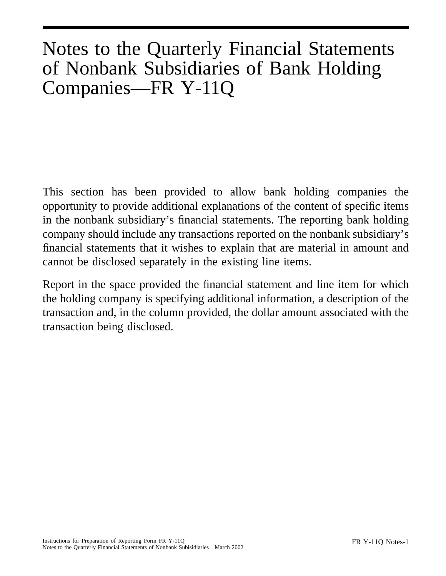# Notes to the Quarterly Financial Statements of Nonbank Subsidiaries of Bank Holding Companies—FR Y-11Q

This section has been provided to allow bank holding companies the opportunity to provide additional explanations of the content of specific items in the nonbank subsidiary's financial statements. The reporting bank holding company should include any transactions reported on the nonbank subsidiary's financial statements that it wishes to explain that are material in amount and cannot be disclosed separately in the existing line items.

Report in the space provided the financial statement and line item for which the holding company is specifying additional information, a description of the transaction and, in the column provided, the dollar amount associated with the transaction being disclosed.